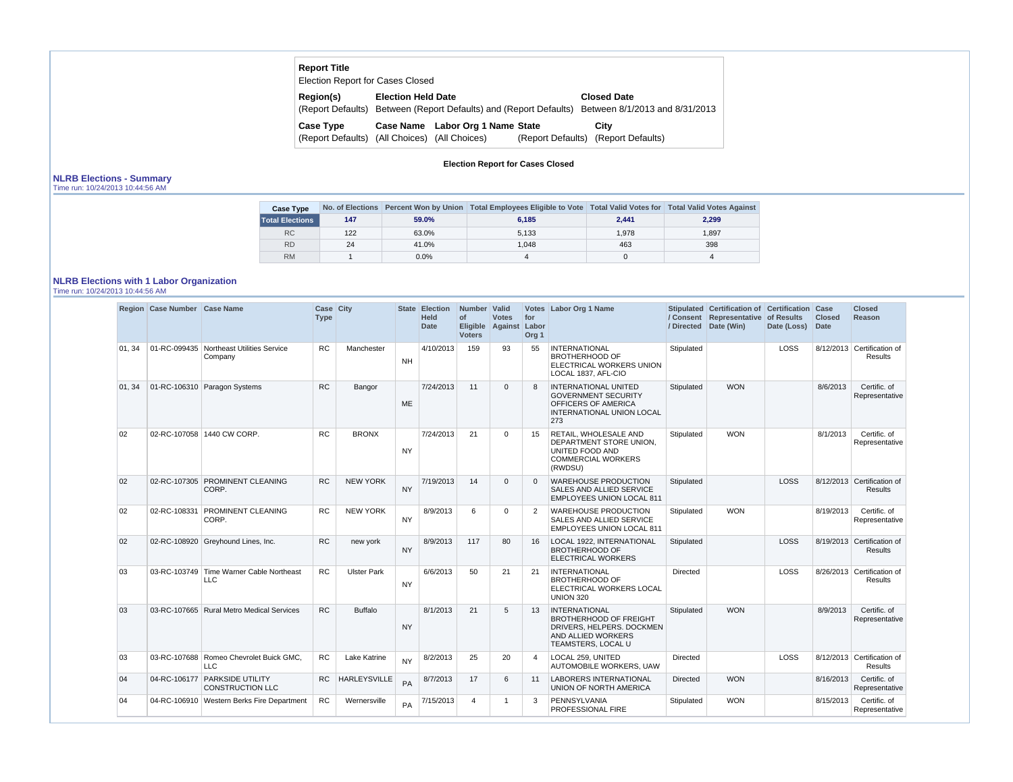## **Report Title**

Election Report for Cases Closed

| <b>Region(s)</b>                              | <b>Election Held Date</b> |                                  | <b>Closed Date</b>                                                                               |
|-----------------------------------------------|---------------------------|----------------------------------|--------------------------------------------------------------------------------------------------|
|                                               |                           |                                  | (Report Defaults) Between (Report Defaults) and (Report Defaults) Between 8/1/2013 and 8/31/2013 |
| <b>Case Type</b>                              |                           | Case Name Labor Org 1 Name State | City                                                                                             |
| (Report Defaults) (All Choices) (All Choices) |                           |                                  | (Report Defaults) (Report Defaults)                                                              |

**Election Report for Cases Closed**

## **NLRB Elections - Summary**

Time run: 10/24/2013 10:44:56 AM

| <b>Case Type</b>       |     |         | No. of Elections Percent Won by Union Total Employees Eligible to Vote Total Valid Votes for Total Valid Votes Against |       |       |
|------------------------|-----|---------|------------------------------------------------------------------------------------------------------------------------|-------|-------|
| <b>Total Elections</b> | 147 | 59.0%   | 6.185                                                                                                                  | 2.441 | 2,299 |
| <b>RC</b>              | 122 | 63.0%   | 5,133                                                                                                                  | 1.978 | 1.897 |
| <b>RD</b>              | 24  | 41.0%   | 1.048                                                                                                                  | 463   | 398   |
| <b>RM</b>              |     | $0.0\%$ |                                                                                                                        |       |       |

# **NLRB Elections with 1 Labor Organization**

Time run: 10/24/2013 10:44:56 AM

|        | Region Case Number Case Name |                                                          | Case City<br><b>Type</b> |                     | <b>State</b> | <b>Election</b><br><b>Held</b><br><b>Date</b> | Number   Valid<br>of<br><b>Voters</b> | <b>Votes</b><br>Eligible Against | for<br>Labor<br>Org <sub>1</sub> | Votes Labor Org 1 Name                                                                                                         | / Directed      | Stipulated Certification of Certification Case<br>/ Consent Representative of Results<br>Date (Win) | Date (Loss) | <b>Closed</b><br><b>Date</b> | <b>Closed</b><br><b>Reason</b>               |
|--------|------------------------------|----------------------------------------------------------|--------------------------|---------------------|--------------|-----------------------------------------------|---------------------------------------|----------------------------------|----------------------------------|--------------------------------------------------------------------------------------------------------------------------------|-----------------|-----------------------------------------------------------------------------------------------------|-------------|------------------------------|----------------------------------------------|
| 01.34  |                              | 01-RC-099435   Northeast Utilities Service<br>Company    | <b>RC</b>                | Manchester          | <b>NH</b>    | 4/10/2013                                     | 159                                   | 93                               | 55                               | <b>INTERNATIONAL</b><br><b>BROTHERHOOD OF</b><br>ELECTRICAL WORKERS UNION<br>LOCAL 1837, AFL-CIO                               | Stipulated      |                                                                                                     | <b>LOSS</b> |                              | 8/12/2013 Certification of<br><b>Results</b> |
| 01, 34 |                              | 01-RC-106310 Paragon Systems                             | RC                       | Bangor              | <b>ME</b>    | 7/24/2013                                     | 11                                    | $\Omega$                         | 8                                | INTERNATIONAL UNITED<br><b>GOVERNMENT SECURITY</b><br>OFFICERS OF AMERICA<br><b>INTERNATIONAL UNION LOCAL</b><br>273           | Stipulated      | <b>WON</b>                                                                                          |             | 8/6/2013                     | Certific. of<br>Representative               |
| 02     |                              | 02-RC-107058 1440 CW CORP.                               | <b>RC</b>                | <b>BRONX</b>        | <b>NY</b>    | 7/24/2013                                     | 21                                    | $\Omega$                         | 15                               | RETAIL. WHOLESALE AND<br>DEPARTMENT STORE UNION.<br>UNITED FOOD AND<br><b>COMMERCIAL WORKERS</b><br>(RWDSU)                    | Stipulated      | <b>WON</b>                                                                                          |             | 8/1/2013                     | Certific. of<br>Representative               |
| 02     |                              | 02-RC-107305 PROMINENT CLEANING<br>CORP.                 | <b>RC</b>                | <b>NEW YORK</b>     | <b>NY</b>    | 7/19/2013                                     | 14                                    | $\Omega$                         | $\Omega$                         | <b>WAREHOUSE PRODUCTION</b><br>SALES AND ALLIED SERVICE<br>EMPLOYEES UNION LOCAL 811                                           | Stipulated      |                                                                                                     | <b>LOSS</b> |                              | 8/12/2013 Certification of<br><b>Results</b> |
| 02     | 02-RC-108331                 | PROMINENT CLEANING<br>CORP.                              | <b>RC</b>                | <b>NEW YORK</b>     | <b>NY</b>    | 8/9/2013                                      | 6                                     | $\Omega$                         | 2                                | <b>WAREHOUSE PRODUCTION</b><br>SALES AND ALLIED SERVICE<br><b>EMPLOYEES UNION LOCAL 811</b>                                    | Stipulated      | <b>WON</b>                                                                                          |             | 8/19/2013                    | Certific. of<br>Representative               |
| 02     |                              | 02-RC-108920 Greyhound Lines, Inc.                       | <b>RC</b>                | new york            | <b>NY</b>    | 8/9/2013                                      | 117                                   | 80                               | 16                               | LOCAL 1922, INTERNATIONAL<br><b>BROTHERHOOD OF</b><br><b>ELECTRICAL WORKERS</b>                                                | Stipulated      |                                                                                                     | LOSS        |                              | 8/19/2013 Certification of<br><b>Results</b> |
| 03     |                              | 03-RC-103749   Time Warner Cable Northeast<br><b>LLC</b> | <b>RC</b>                | <b>Ulster Park</b>  | <b>NY</b>    | 6/6/2013                                      | 50                                    | 21                               | 21                               | <b>INTERNATIONAL</b><br><b>BROTHERHOOD OF</b><br>ELECTRICAL WORKERS LOCAL<br><b>UNION 320</b>                                  | <b>Directed</b> |                                                                                                     | <b>LOSS</b> |                              | 8/26/2013 Certification of<br>Results        |
| 03     |                              | 03-RC-107665 Rural Metro Medical Services                | <b>RC</b>                | <b>Buffalo</b>      | <b>NY</b>    | 8/1/2013                                      | 21                                    | 5                                | 13                               | <b>INTERNATIONAL</b><br><b>BROTHERHOOD OF FREIGHT</b><br>DRIVERS, HELPERS. DOCKMEN<br>AND ALLIED WORKERS<br>TEAMSTERS, LOCAL U | Stipulated      | <b>WON</b>                                                                                          |             | 8/9/2013                     | Certific. of<br>Representative               |
| 03     |                              | 03-RC-107688   Romeo Chevrolet Buick GMC.<br><b>LLC</b>  | <b>RC</b>                | Lake Katrine        | <b>NY</b>    | 8/2/2013                                      | 25                                    | 20                               | 4                                | LOCAL 259. UNITED<br>AUTOMOBILE WORKERS, UAW                                                                                   | Directed        |                                                                                                     | <b>LOSS</b> |                              | 8/12/2013 Certification of<br><b>Results</b> |
| 04     |                              | 04-RC-106177 PARKSIDE UTILITY<br><b>CONSTRUCTION LLC</b> | RC                       | <b>HARLEYSVILLE</b> | PA           | 8/7/2013                                      | 17                                    | 6                                | 11                               | <b>LABORERS INTERNATIONAL</b><br>UNION OF NORTH AMERICA                                                                        | Directed        | <b>WON</b>                                                                                          |             | 8/16/2013                    | Certific. of<br>Representative               |
| 04     |                              | 04-RC-106910   Western Berks Fire Department             | <b>RC</b>                | Wernersville        | PA           | 7/15/2013                                     | $\overline{4}$                        | $\overline{1}$                   | 3                                | PENNSYLVANIA<br>PROFESSIONAL FIRE                                                                                              | Stipulated      | <b>WON</b>                                                                                          |             | 8/15/2013                    | Certific, of<br>Representative               |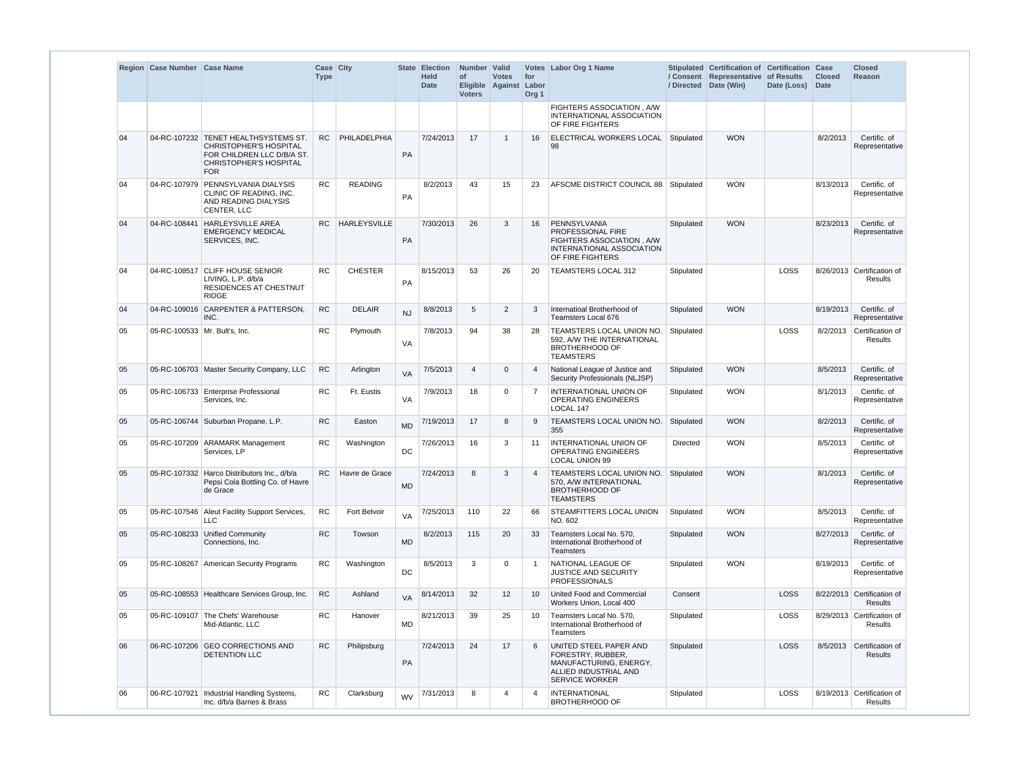|    | Region Case Number Case Name    |                                                                                                                                                    | Case City<br><b>Type</b> |                 |           | State Election<br><b>Held</b><br><b>Date</b> | Number Valid<br>of<br><b>Voters</b> | <b>Votes</b><br>Eligible Against | for<br>Labor<br>Org <sub>1</sub> | Votes Labor Org 1 Name                                                                                                  |                 | Stipulated Certification of Certification Case<br>/ Consent Representative of Results<br>/ Directed Date (Win) | Date (Loss) | <b>Closed</b><br><b>Date</b> | <b>Closed</b><br>Reason               |
|----|---------------------------------|----------------------------------------------------------------------------------------------------------------------------------------------------|--------------------------|-----------------|-----------|----------------------------------------------|-------------------------------------|----------------------------------|----------------------------------|-------------------------------------------------------------------------------------------------------------------------|-----------------|----------------------------------------------------------------------------------------------------------------|-------------|------------------------------|---------------------------------------|
|    |                                 |                                                                                                                                                    |                          |                 |           |                                              |                                     |                                  |                                  | FIGHTERS ASSOCIATION, A/W<br>INTERNATIONAL ASSOCIATION<br>OF FIRE FIGHTERS                                              |                 |                                                                                                                |             |                              |                                       |
| 04 |                                 | 04-RC-107232 TENET HEALTHSYSTEMS ST.<br><b>CHRISTOPHER'S HOSPITAL</b><br>FOR CHILDREN LLC D/B/A ST.<br><b>CHRISTOPHER'S HOSPITAL</b><br><b>FOR</b> | RC.                      | PHILADELPHIA    | PA        | 7/24/2013                                    | 17                                  | $\overline{1}$                   | 16                               | ELECTRICAL WORKERS LOCAL<br>98                                                                                          | Stipulated      | <b>WON</b>                                                                                                     |             | 8/2/2013                     | Certific. of<br>Representative        |
| 04 |                                 | 04-RC-107979 PENNSYLVANIA DIALYSIS<br>CLINIC OF READING, INC.<br>AND READING DIALYSIS<br>CENTER, LLC                                               | <b>RC</b>                | <b>READING</b>  | PA        | 8/2/2013                                     | 43                                  | 15                               | 23                               | AFSCME DISTRICT COUNCIL 88   Stipulated                                                                                 |                 | <b>WON</b>                                                                                                     |             | 8/13/2013                    | Certific. of<br>Representative        |
| 04 | 04-RC-108441                    | <b>HARLEYSVILLE AREA</b><br><b>EMERGENCY MEDICAL</b><br>SERVICES, INC.                                                                             |                          | RC HARLEYSVILLE | PA        | 7/30/2013                                    | 26                                  | 3                                | 16                               | PENNSYLVANIA<br>PROFESSIONAL FIRE<br>FIGHTERS ASSOCIATION, A/W<br>INTERNATIONAL ASSOCIATION<br>OF FIRE FIGHTERS         | Stipulated      | <b>WON</b>                                                                                                     |             | 8/23/2013                    | Certific. of<br>Representative        |
| 04 |                                 | 04-RC-108517 CLIFF HOUSE SENIOR<br>LIVING, L.P. d/b/a<br>RESIDENCES AT CHESTNUT<br><b>RIDGE</b>                                                    | <b>RC</b>                | <b>CHESTER</b>  | PA        | 8/15/2013                                    | 53                                  | 26                               | 20                               | TEAMSTERS LOCAL 312                                                                                                     | Stipulated      |                                                                                                                | LOSS        |                              | 8/26/2013 Certification of<br>Results |
| 04 |                                 | 04-RC-109016 CARPENTER & PATTERSON,<br>INC.                                                                                                        | <b>RC</b>                | <b>DELAIR</b>   | NJ        | 8/8/2013                                     | 5                                   | $\overline{2}$                   | 3                                | Internatioal Brotherhood of<br><b>Teamsters Local 676</b>                                                               | Stipulated      | <b>WON</b>                                                                                                     |             | 8/19/2013                    | Certific. of<br>Representative        |
| 05 | 05-RC-100533   Mr. Bult's, Inc. |                                                                                                                                                    | <b>RC</b>                | Plymouth        | VA        | 7/8/2013                                     | 94                                  | 38                               | 28                               | <b>TEAMSTERS LOCAL UNION NO.</b><br>592, A/W THE INTERNATIONAL<br><b>BROTHERHOOD OF</b><br><b>TEAMSTERS</b>             | Stipulated      |                                                                                                                | LOSS        | 8/2/2013                     | Certification of<br>Results           |
| 05 |                                 | 05-RC-106703 Master Security Company, LLC                                                                                                          | <b>RC</b>                | Arlington       | <b>VA</b> | 7/5/2013                                     | $\overline{4}$                      | $\Omega$                         | $\boldsymbol{\vartriangle}$      | National League of Justice and<br>Security Professionals (NLJSP)                                                        | Stipulated      | <b>WON</b>                                                                                                     |             | 8/5/2013                     | Certific. of<br>Representative        |
| 05 |                                 | 05-RC-106733 Enterprise Professional<br>Services, Inc.                                                                                             | <b>RC</b>                | Ft. Eustis      | VA        | 7/9/2013                                     | 18                                  | $\Omega$                         | 7                                | INTERNATIONAL UNION OF<br><b>OPERATING ENGINEERS</b><br>LOCAL 147                                                       | Stipulated      | <b>WON</b>                                                                                                     |             | 8/1/2013                     | Certific. of<br>Representative        |
| 05 |                                 | 05-RC-106744 Suburban Propane, L.P.                                                                                                                | <b>RC</b>                | Easton          | <b>MD</b> | 7/19/2013                                    | 17                                  | 8                                | 9                                | TEAMSTERS LOCAL UNION NO.<br>355                                                                                        | Stipulated      | <b>WON</b>                                                                                                     |             | 8/2/2013                     | Certific. of<br>Representative        |
| 05 |                                 | 05-RC-107209 ARAMARK Management<br>Services, LP                                                                                                    | <b>RC</b>                | Washington      | DC        | 7/26/2013                                    | 16                                  | 3                                | 11                               | <b>INTERNATIONAL UNION OF</b><br><b>OPERATING ENGINEERS</b><br><b>LOCAL UNION 99</b>                                    | <b>Directed</b> | <b>WON</b>                                                                                                     |             | 8/5/2013                     | Certific. of<br>Representative        |
| 05 |                                 | 05-RC-107332 Harco Distributors Inc., d/b/a<br>Pepsi Cola Bottling Co. of Havre<br>de Grace                                                        | RC.                      | Havre de Grace  | <b>MD</b> | 7/24/2013                                    | 8                                   | 3                                | 4                                | TEAMSTERS LOCAL UNION NO.<br>570, A/W INTERNATIONAL<br><b>BROTHERHOOD OF</b><br><b>TEAMSTERS</b>                        | Stipulated      | <b>WON</b>                                                                                                     |             | 8/1/2013                     | Certific. of<br>Representative        |
| 05 |                                 | 05-RC-107546 Aleut Facility Support Services,<br><b>LLC</b>                                                                                        | <b>RC</b>                | Fort Belvoir    | VA        | 7/25/2013                                    | 110                                 | 22                               | 66                               | STEAMFITTERS LOCAL UNION<br>NO. 602                                                                                     | Stipulated      | <b>WON</b>                                                                                                     |             | 8/5/2013                     | Certific. of<br>Representative        |
| 05 |                                 | 05-RC-108233 Unified Community<br>Connections, Inc.                                                                                                | <b>RC</b>                | Towson          | <b>MD</b> | 8/2/2013                                     | 115                                 | 20                               | 33                               | Teamsters Local No. 570,<br>International Brotherhood of<br><b>Teamsters</b>                                            | Stipulated      | <b>WON</b>                                                                                                     |             | 8/27/2013                    | Certific. of<br>Representative        |
| 05 |                                 | 05-RC-108267 American Security Programs                                                                                                            | <b>RC</b>                | Washington      | DC        | 8/5/2013                                     | 3                                   | $\mathbf 0$                      |                                  | NATIONAL LEAGUE OF<br><b>JUSTICE AND SECURITY</b><br><b>PROFESSIONALS</b>                                               | Stipulated      | <b>WON</b>                                                                                                     |             | 8/19/2013                    | Certific. of<br>Representative        |
| 05 |                                 | 05-RC-108553 Healthcare Services Group, Inc.                                                                                                       | RC                       | Ashland         | <b>VA</b> | 8/14/2013                                    | 32                                  | 12                               | 10                               | United Food and Commercial<br>Workers Union, Local 400                                                                  | Consent         |                                                                                                                | LOSS        |                              | 8/22/2013 Certification of<br>Results |
| 05 |                                 | 05-RC-109107 The Chefs' Warehouse<br>Mid-Atlantic, LLC                                                                                             | <b>RC</b>                | Hanover         | <b>MD</b> | 8/21/2013                                    | 39                                  | 25                               | 10                               | Teamsters Local No. 570,<br>International Brotherhood of<br><b>Teamsters</b>                                            | Stipulated      |                                                                                                                | LOSS        |                              | 8/29/2013 Certification of<br>Results |
| 06 |                                 | 06-RC-107206 GEO CORRECTIONS AND<br>DETENTION LLC                                                                                                  | RC                       | Philipsburg     | PA        | 7/24/2013                                    | 24                                  | 17                               | 6                                | UNITED STEEL PAPER AND<br>FORESTRY, RUBBER,<br>MANUFACTURING, ENERGY,<br>ALLIED INDUSTRIAL AND<br><b>SERVICE WORKER</b> | Stipulated      |                                                                                                                | LOSS        |                              | 8/5/2013 Certification of<br>Results  |
| 06 |                                 | 06-RC-107921   Industrial Handling Systems,<br>Inc. d/b/a Barnes & Brass                                                                           | ${\sf RC}$               | Clarksburg      | <b>WV</b> | 7/31/2013                                    | 8                                   | $\overline{4}$                   | 4                                | <b>INTERNATIONAL</b><br><b>BROTHERHOOD OF</b>                                                                           | Stipulated      |                                                                                                                | LOSS        |                              | 8/19/2013 Certification of<br>Results |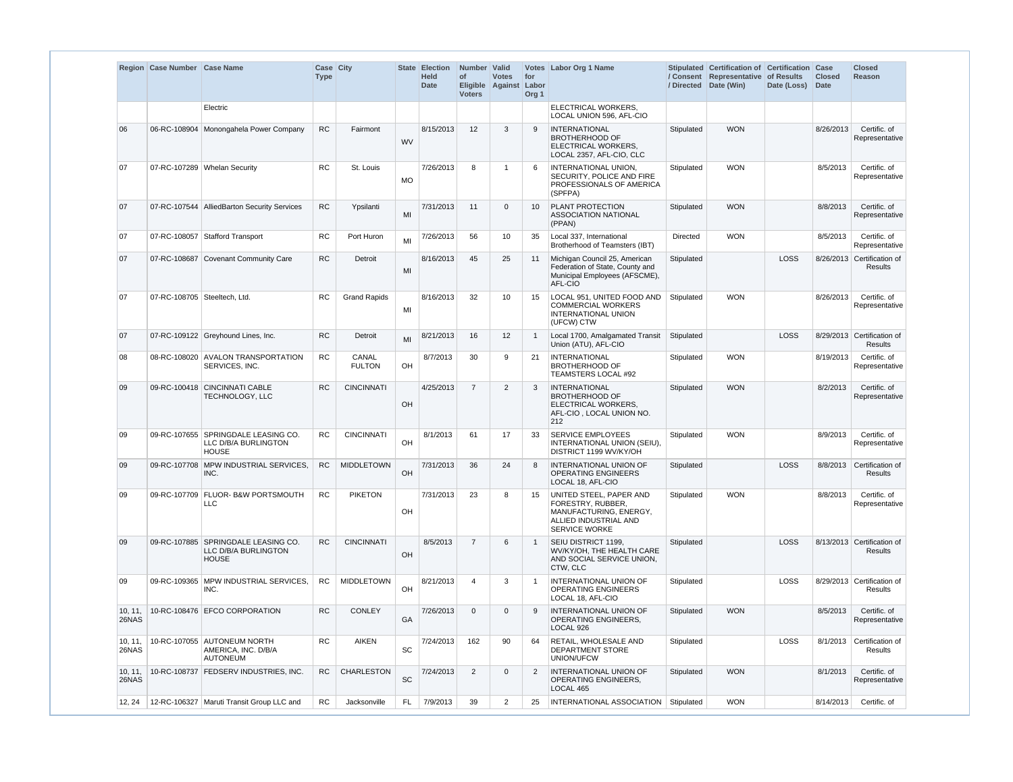|                  | Region Case Number Case Name |                                                                             | Case City<br><b>Type</b> |                        |           | State Election<br><b>Held</b><br><b>Date</b> | Number Valid<br>of<br>Eligible Against Labor<br><b>Voters</b> | <b>Votes</b>   | for<br>Org <sub>1</sub> | Votes Labor Org 1 Name                                                                                                  |            | Stipulated Certification of Certification Case<br>/ Consent Representative of Results<br>/ Directed Date (Win) | Date (Loss) | <b>Closed</b><br><b>Date</b> | <b>Closed</b><br>Reason                      |
|------------------|------------------------------|-----------------------------------------------------------------------------|--------------------------|------------------------|-----------|----------------------------------------------|---------------------------------------------------------------|----------------|-------------------------|-------------------------------------------------------------------------------------------------------------------------|------------|----------------------------------------------------------------------------------------------------------------|-------------|------------------------------|----------------------------------------------|
|                  |                              | Electric                                                                    |                          |                        |           |                                              |                                                               |                |                         | ELECTRICAL WORKERS,<br>LOCAL UNION 596, AFL-CIO                                                                         |            |                                                                                                                |             |                              |                                              |
| 06               |                              | 06-RC-108904 Monongahela Power Company                                      | <b>RC</b>                | Fairmont               | <b>WV</b> | 8/15/2013                                    | 12                                                            | $\mathbf{3}$   | 9                       | <b>INTERNATIONAL</b><br><b>BROTHERHOOD OF</b><br>ELECTRICAL WORKERS,<br>LOCAL 2357, AFL-CIO, CLC                        | Stipulated | <b>WON</b>                                                                                                     |             | 8/26/2013                    | Certific. of<br>Representative               |
| 07               |                              | 07-RC-107289 Whelan Security                                                | <b>RC</b>                | St. Louis              | MO        | 7/26/2013                                    | 8                                                             | $\overline{1}$ | 6                       | INTERNATIONAL UNION,<br>SECURITY, POLICE AND FIRE<br>PROFESSIONALS OF AMERICA<br>(SPFPA)                                | Stipulated | <b>WON</b>                                                                                                     |             | 8/5/2013                     | Certific. of<br>Representative               |
| 07               |                              | 07-RC-107544 AlliedBarton Security Services                                 | RC                       | Ypsilanti              | MI        | 7/31/2013                                    | 11                                                            | $\overline{0}$ | 10                      | PLANT PROTECTION<br><b>ASSOCIATION NATIONAL</b><br>(PPAN)                                                               | Stipulated | <b>WON</b>                                                                                                     |             | 8/8/2013                     | Certific. of<br>Representative               |
| 07               |                              | 07-RC-108057 Stafford Transport                                             | <b>RC</b>                | Port Huron             | MI        | 7/26/2013                                    | 56                                                            | 10             | 35                      | Local 337, International<br>Brotherhood of Teamsters (IBT)                                                              | Directed   | <b>WON</b>                                                                                                     |             | 8/5/2013                     | Certific. of<br>Representative               |
| 07               |                              | 07-RC-108687 Covenant Community Care                                        | <b>RC</b>                | Detroit                | MI        | 8/16/2013                                    | 45                                                            | 25             | 11                      | Michigan Council 25, American<br>Federation of State, County and<br>Municipal Employees (AFSCME),<br>AFL-CIO            | Stipulated |                                                                                                                | LOSS        |                              | 8/26/2013 Certification of<br><b>Results</b> |
| 07               | 07-RC-108705 Steeltech, Ltd. |                                                                             | <b>RC</b>                | <b>Grand Rapids</b>    | MI        | 8/16/2013                                    | 32                                                            | 10             | 15                      | LOCAL 951, UNITED FOOD AND<br><b>COMMERCIAL WORKERS</b><br>INTERNATIONAL UNION<br>(UFCW) CTW                            | Stipulated | <b>WON</b>                                                                                                     |             | 8/26/2013                    | Certific. of<br>Representative               |
| 07               |                              | 07-RC-109122 Greyhound Lines, Inc.                                          | <b>RC</b>                | Detroit                | MI        | 8/21/2013                                    | 16                                                            | 12             | $\mathbf{1}$            | Local 1700, Amalgamated Transit<br>Union (ATU), AFL-CIO                                                                 | Stipulated |                                                                                                                | <b>LOSS</b> |                              | 8/29/2013 Certification of<br><b>Results</b> |
| 08               |                              | 08-RC-108020 AVALON TRANSPORTATION<br>SERVICES, INC.                        | RC                       | CANAL<br><b>FULTON</b> | <b>OH</b> | 8/7/2013                                     | 30                                                            | 9              | 21                      | <b>INTERNATIONAL</b><br><b>BROTHERHOOD OF</b><br>TEAMSTERS LOCAL #92                                                    | Stipulated | <b>WON</b>                                                                                                     |             | 8/19/2013                    | Certific. of<br>Representative               |
| 09               |                              | 09-RC-100418 CINCINNATI CABLE<br>TECHNOLOGY, LLC                            | <b>RC</b>                | <b>CINCINNATI</b>      | OH        | 4/25/2013                                    | $\overline{7}$                                                | 2              | 3                       | <b>INTERNATIONAL</b><br><b>BROTHERHOOD OF</b><br>ELECTRICAL WORKERS,<br>AFL-CIO, LOCAL UNION NO.<br>212                 | Stipulated | <b>WON</b>                                                                                                     |             | 8/2/2013                     | Certific. of<br>Representative               |
| 09               |                              | 09-RC-107655 SPRINGDALE LEASING CO.<br>LLC D/B/A BURLINGTON<br><b>HOUSE</b> | <b>RC</b>                | <b>CINCINNATI</b>      | <b>OH</b> | 8/1/2013                                     | 61                                                            | 17             | 33                      | <b>SERVICE EMPLOYEES</b><br>INTERNATIONAL UNION (SEIU),<br>DISTRICT 1199 WV/KY/OH                                       | Stipulated | <b>WON</b>                                                                                                     |             | 8/9/2013                     | Certific. of<br>Representative               |
| 09               |                              | 09-RC-107708 MPW INDUSTRIAL SERVICES,<br>INC.                               | ${\sf RC}$               | <b>MIDDLETOWN</b>      | OH        | 7/31/2013                                    | 36                                                            | 24             | 8                       | INTERNATIONAL UNION OF<br><b>OPERATING ENGINEERS</b><br>LOCAL 18, AFL-CIO                                               | Stipulated |                                                                                                                | LOSS        |                              | 8/8/2013 Certification of<br><b>Results</b>  |
| 09               |                              | 09-RC-107709 FLUOR- B&W PORTSMOUTH<br><b>LLC</b>                            | <b>RC</b>                | <b>PIKETON</b>         | OH        | 7/31/2013                                    | 23                                                            | 8              | -15                     | UNITED STEEL, PAPER AND<br>FORESTRY, RUBBER,<br>MANUFACTURING, ENERGY.<br>ALLIED INDUSTRIAL AND<br><b>SERVICE WORKE</b> | Stipulated | <b>WON</b>                                                                                                     |             | 8/8/2013                     | Certific. of<br>Representative               |
| 09               |                              | 09-RC-107885 SPRINGDALE LEASING CO.<br>LLC D/B/A BURLINGTON<br><b>HOUSE</b> | RC                       | <b>CINCINNATI</b>      | OH        | 8/5/2013                                     | $\overline{7}$                                                | 6              | -1                      | <b>SEIU DISTRICT 1199.</b><br>WV/KY/OH, THE HEALTH CARE<br>AND SOCIAL SERVICE UNION,<br>CTW, CLC                        | Stipulated |                                                                                                                | LOSS        |                              | 8/13/2013 Certification of<br><b>Results</b> |
| 09               |                              | 09-RC-109365 MPW INDUSTRIAL SERVICES.<br>INC.                               | <b>RC</b>                | <b>MIDDLETOWN</b>      | OH        | 8/21/2013                                    | $\overline{\mathbf{A}}$                                       | 3              | -1                      | INTERNATIONAL UNION OF<br><b>OPERATING ENGINEERS</b><br>LOCAL 18, AFL-CIO                                               | Stipulated |                                                                                                                | LOSS        |                              | 8/29/2013 Certification of<br>Results        |
| 10, 11,<br>26NAS |                              | 10-RC-108476 EFCO CORPORATION                                               | <b>RC</b>                | <b>CONLEY</b>          | GA        | 7/26/2013                                    | $\Omega$                                                      | $\overline{0}$ | 9                       | <b>INTERNATIONAL UNION OF</b><br>OPERATING ENGINEERS,<br>LOCAL 926                                                      | Stipulated | <b>WON</b>                                                                                                     |             | 8/5/2013                     | Certific. of<br>Representative               |
| 10, 11,<br>26NAS |                              | 10-RC-107055 AUTONEUM NORTH<br>AMERICA, INC. D/B/A<br><b>AUTONEUM</b>       | <b>RC</b>                | <b>AIKEN</b>           | SC        | 7/24/2013                                    | 162                                                           | 90             | 64                      | RETAIL, WHOLESALE AND<br>DEPARTMENT STORE<br>UNION/UFCW                                                                 | Stipulated |                                                                                                                | LOSS        |                              | 8/1/2013 Certification of<br>Results         |
| 10, 11,<br>26NAS |                              | 10-RC-108737 FEDSERV INDUSTRIES, INC.                                       | <b>RC</b>                | CHARLESTON             | SC        | 7/24/2013                                    | $\overline{2}$                                                | $\overline{0}$ | $\overline{2}$          | INTERNATIONAL UNION OF<br>OPERATING ENGINEERS,<br>LOCAL 465                                                             | Stipulated | <b>WON</b>                                                                                                     |             | 8/1/2013                     | Certific. of<br>Representative               |
| 12, 24           |                              | 12-RC-106327   Maruti Transit Group LLC and                                 | <b>RC</b>                | Jacksonville           | FL.       | 7/9/2013                                     | 39                                                            | 2              | 25                      | INTERNATIONAL ASSOCIATION                                                                                               | Stipulated | <b>WON</b>                                                                                                     |             | 8/14/2013                    | Certific. of                                 |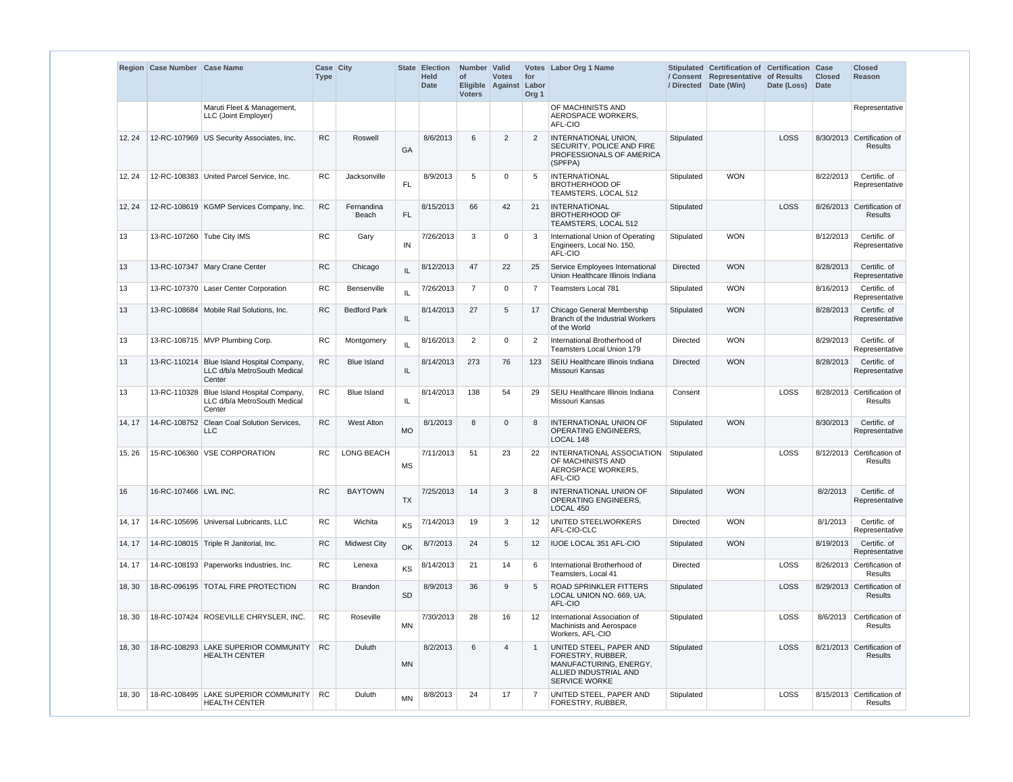|        | Region Case Number Case Name |                                                                                      | Case City<br><b>Type</b> |                     |           | <b>State Election</b><br><b>Held</b><br><b>Date</b> | Number Valid<br>of<br><b>Voters</b> | <b>Votes</b><br>Eligible Against Labor | for<br>Org <sub>1</sub> | Votes Labor Org 1 Name                                                                                                  |                 | Stipulated Certification of Certification Case<br>/ Consent Representative of Results<br>/ Directed Date (Win) | Date (Loss) | <b>Closed</b><br><b>Date</b> | <b>Closed</b><br><b>Reason</b>               |
|--------|------------------------------|--------------------------------------------------------------------------------------|--------------------------|---------------------|-----------|-----------------------------------------------------|-------------------------------------|----------------------------------------|-------------------------|-------------------------------------------------------------------------------------------------------------------------|-----------------|----------------------------------------------------------------------------------------------------------------|-------------|------------------------------|----------------------------------------------|
|        |                              | Maruti Fleet & Management,<br>LLC (Joint Employer)                                   |                          |                     |           |                                                     |                                     |                                        |                         | OF MACHINISTS AND<br>AEROSPACE WORKERS,<br>AFL-CIO                                                                      |                 |                                                                                                                |             |                              | Representative                               |
| 12, 24 |                              | 12-RC-107969 US Security Associates, Inc.                                            | <b>RC</b>                | Roswell             | GA        | 8/6/2013                                            | 6                                   | 2                                      | $\overline{2}$          | <b>INTERNATIONAL UNION,</b><br>SECURITY, POLICE AND FIRE<br>PROFESSIONALS OF AMERICA<br>(SPFPA)                         | Stipulated      |                                                                                                                | LOSS        |                              | 8/30/2013 Certification of<br><b>Results</b> |
| 12, 24 |                              | 12-RC-108383 United Parcel Service, Inc.                                             | <b>RC</b>                | Jacksonville        | FL.       | 8/9/2013                                            | 5                                   | $\mathbf 0$                            | -5                      | <b>INTERNATIONAL</b><br><b>BROTHERHOOD OF</b><br>TEAMSTERS, LOCAL 512                                                   | Stipulated      | <b>WON</b>                                                                                                     |             | 8/22/2013                    | Certific. of<br>Representative               |
| 12, 24 |                              | 12-RC-108619 KGMP Services Company, Inc.                                             | <b>RC</b>                | Fernandina<br>Beach | <b>FL</b> | 8/15/2013                                           | 66                                  | 42                                     | 21                      | <b>INTERNATIONAL</b><br><b>BROTHERHOOD OF</b><br>TEAMSTERS, LOCAL 512                                                   | Stipulated      |                                                                                                                | LOSS        |                              | 8/26/2013 Certification of<br><b>Results</b> |
| 13     | 13-RC-107260 Tube City IMS   |                                                                                      | <b>RC</b>                | Gary                | IN        | 7/26/2013                                           | 3                                   | $\mathbf 0$                            | 3                       | International Union of Operating<br>Engineers, Local No. 150,<br>AFL-CIO                                                | Stipulated      | <b>WON</b>                                                                                                     |             | 8/12/2013                    | Certific. of<br>Representative               |
| 13     |                              | 13-RC-107347 Mary Crane Center                                                       | <b>RC</b>                | Chicago             | IL        | 8/12/2013                                           | 47                                  | 22                                     | 25                      | Service Employees International<br>Union Healthcare Illinois Indiana                                                    | <b>Directed</b> | <b>WON</b>                                                                                                     |             | 8/28/2013                    | Certific. of<br>Representative               |
| 13     |                              | 13-RC-107370 Laser Center Corporation                                                | <b>RC</b>                | Bensenville         | IL        | 7/26/2013                                           | $\overline{7}$                      | 0                                      |                         | <b>Teamsters Local 781</b>                                                                                              | Stipulated      | <b>WON</b>                                                                                                     |             | 8/16/2013                    | Certific. of<br>Representative               |
| 13     |                              | 13-RC-108684 Mobile Rail Solutions. Inc.                                             | <b>RC</b>                | <b>Bedford Park</b> | IL.       | 8/14/2013                                           | 27                                  | 5                                      | 17                      | Chicago General Membership<br>Branch of the Industrial Workers<br>of the World                                          | Stipulated      | <b>WON</b>                                                                                                     |             | 8/28/2013                    | Certific. of<br>Representative               |
| 13     |                              | 13-RC-108715 MVP Plumbing Corp.                                                      | RC                       | Montgomery          | IL        | 8/16/2013                                           | 2                                   | $\mathbf 0$                            | $\overline{2}$          | International Brotherhood of<br><b>Teamsters Local Union 179</b>                                                        | <b>Directed</b> | <b>WON</b>                                                                                                     |             | 8/29/2013                    | Certific. of<br>Representative               |
| 13     | 13-RC-110214                 | Blue Island Hospital Company,<br>LLC d/b/a MetroSouth Medical<br>Center              | <b>RC</b>                | <b>Blue Island</b>  | IL.       | 8/14/2013                                           | 273                                 | 76                                     | 123                     | SEIU Healthcare Illinois Indiana<br>Missouri Kansas                                                                     | <b>Directed</b> | <b>WON</b>                                                                                                     |             | 8/28/2013                    | Certific. of<br>Representative               |
| 13     |                              | 13-RC-110328 Blue Island Hospital Company,<br>LLC d/b/a MetroSouth Medical<br>Center | <b>RC</b>                | <b>Blue Island</b>  | IL        | 8/14/2013                                           | 138                                 | 54                                     | 29                      | SEIU Healthcare Illinois Indiana<br>Missouri Kansas                                                                     | Consent         |                                                                                                                | <b>LOSS</b> |                              | 8/28/2013 Certification of<br><b>Results</b> |
| 14, 17 |                              | 14-RC-108752 Clean Coal Solution Services.<br><b>LLC</b>                             | <b>RC</b>                | <b>West Alton</b>   | <b>MO</b> | 8/1/2013                                            | 8                                   | $\mathbf{0}$                           | 8                       | <b>INTERNATIONAL UNION OF</b><br><b>OPERATING ENGINEERS,</b><br>LOCAL 148                                               | Stipulated      | <b>WON</b>                                                                                                     |             | 8/30/2013                    | Certific. of<br>Representative               |
| 15, 26 |                              | 15-RC-106360 VSE CORPORATION                                                         | RC                       | <b>LONG BEACH</b>   | <b>MS</b> | 7/11/2013                                           | 51                                  | 23                                     | 22                      | INTERNATIONAL ASSOCIATION<br>OF MACHINISTS AND<br>AEROSPACE WORKERS,<br>AFL-CIO                                         | Stipulated      |                                                                                                                | LOSS        |                              | 8/12/2013 Certification of<br>Results        |
| 16     | 16-RC-107466 LWL INC.        |                                                                                      | <b>RC</b>                | <b>BAYTOWN</b>      | <b>TX</b> | 7/25/2013                                           | 14                                  | 3                                      | 8                       | INTERNATIONAL UNION OF<br><b>OPERATING ENGINEERS,</b><br>LOCAL 450                                                      | Stipulated      | <b>WON</b>                                                                                                     |             | 8/2/2013                     | Certific. of<br>Representative               |
| 14, 17 |                              | 14-RC-105696   Universal Lubricants, LLC                                             | RC                       | Wichita             | KS        | 7/14/2013                                           | 19                                  | 3                                      | 12                      | <b>UNITED STEELWORKERS</b><br>AFL-CIO-CLC                                                                               | <b>Directed</b> | <b>WON</b>                                                                                                     |             | 8/1/2013                     | Certific. of<br>Representative               |
| 14, 17 |                              | 14-RC-108015 Triple R Janitorial, Inc.                                               | <b>RC</b>                | <b>Midwest City</b> | OK        | 8/7/2013                                            | 24                                  | 5                                      | 12                      | IUOE LOCAL 351 AFL-CIO                                                                                                  | Stipulated      | <b>WON</b>                                                                                                     |             | 8/19/2013                    | Certific. of<br>Representative               |
| 14, 17 |                              | 14-RC-108193 Paperworks Industries, Inc.                                             | RC                       | Lenexa              | KS        | 8/14/2013                                           | 21                                  | 14                                     | 6                       | International Brotherhood of<br>Teamsters, Local 41                                                                     | Directed        |                                                                                                                | <b>LOSS</b> |                              | 8/26/2013 Certification of<br><b>Results</b> |
| 18, 30 |                              | 18-RC-096195 TOTAL FIRE PROTECTION                                                   | <b>RC</b>                | <b>Brandon</b>      | <b>SD</b> | 8/9/2013                                            | 36                                  | 9                                      | 5                       | <b>ROAD SPRINKLER FITTERS</b><br>LOCAL UNION NO. 669, UA,<br>AFL-CIO                                                    | Stipulated      |                                                                                                                | <b>LOSS</b> |                              | 8/29/2013 Certification of<br><b>Results</b> |
| 18, 30 |                              | 18-RC-107424 ROSEVILLE CHRYSLER, INC.                                                | <b>RC</b>                | Roseville           | <b>MN</b> | 7/30/2013                                           | 28                                  | 16                                     | $12 \overline{ }$       | International Association of<br>Machinists and Aerospace<br>Workers, AFL-CIO                                            | Stipulated      |                                                                                                                | LOSS        |                              | 8/6/2013 Certification of<br>Results         |
| 18, 30 | 18-RC-108293                 | <b>LAKE SUPERIOR COMMUNITY</b><br><b>HEALTH CENTER</b>                               | <b>RC</b>                | Duluth              | <b>MN</b> | 8/2/2013                                            | 6                                   | $\overline{4}$                         |                         | UNITED STEEL, PAPER AND<br>FORESTRY, RUBBER,<br>MANUFACTURING, ENERGY,<br>ALLIED INDUSTRIAL AND<br><b>SERVICE WORKE</b> | Stipulated      |                                                                                                                | <b>LOSS</b> |                              | 8/21/2013 Certification of<br>Results        |
| 18, 30 |                              | 18-RC-108495 LAKE SUPERIOR COMMUNITY<br><b>HEALTH CENTER</b>                         | RC                       | Duluth              | <b>MN</b> | 8/8/2013                                            | 24                                  | 17                                     | -7                      | UNITED STEEL, PAPER AND<br>FORESTRY, RUBBER,                                                                            | Stipulated      |                                                                                                                | <b>LOSS</b> |                              | 8/15/2013 Certification of<br><b>Results</b> |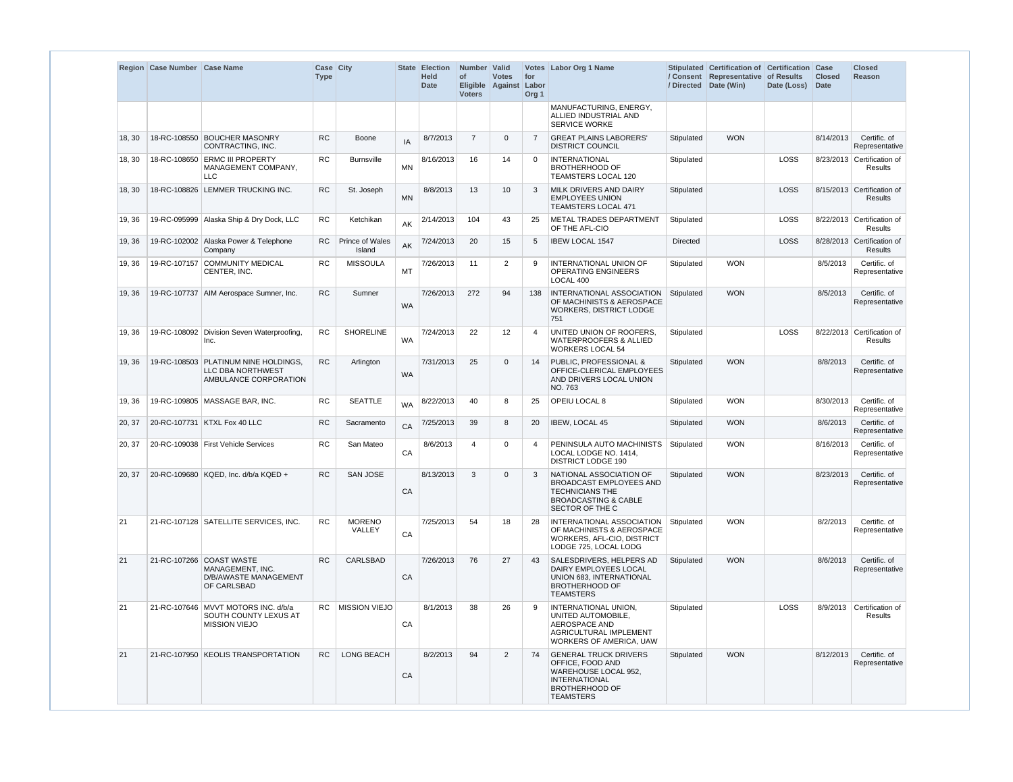|        | Region Case Number Case Name |                                                                                           | Case City<br><b>Type</b> |                                  |           | <b>State Election</b><br><b>Held</b><br><b>Date</b> | Number   Valid<br>of<br>Eligible Against<br><b>Voters</b> | <b>Votes</b>      | for<br>Labor<br>Org <sub>1</sub> | Votes Labor Org 1 Name                                                                                                                        |                 | Stipulated Certification of Certification<br>/ Consent Representative of Results<br>/ Directed Date (Win) | Date (Loss) | Case<br><b>Closed</b><br><b>Date</b> | <b>Closed</b><br><b>Reason</b>              |
|--------|------------------------------|-------------------------------------------------------------------------------------------|--------------------------|----------------------------------|-----------|-----------------------------------------------------|-----------------------------------------------------------|-------------------|----------------------------------|-----------------------------------------------------------------------------------------------------------------------------------------------|-----------------|-----------------------------------------------------------------------------------------------------------|-------------|--------------------------------------|---------------------------------------------|
|        |                              |                                                                                           |                          |                                  |           |                                                     |                                                           |                   |                                  | MANUFACTURING, ENERGY,<br>ALLIED INDUSTRIAL AND<br><b>SERVICE WORKE</b>                                                                       |                 |                                                                                                           |             |                                      |                                             |
| 18, 30 | 18-RC-108550                 | <b>BOUCHER MASONRY</b><br>CONTRACTING, INC.                                               | <b>RC</b>                | Boone                            | IA        | 8/7/2013                                            | $\overline{7}$                                            | 0                 | $\overline{7}$                   | <b>GREAT PLAINS LABORERS'</b><br><b>DISTRICT COUNCIL</b>                                                                                      | Stipulated      | <b>WON</b>                                                                                                |             | 8/14/2013                            | Certific. of<br>Representative              |
| 18, 30 | 18-RC-108650                 | <b>ERMC III PROPERTY</b><br>MANAGEMENT COMPANY,<br><b>LLC</b>                             | <b>RC</b>                | <b>Burnsville</b>                | <b>MN</b> | 8/16/2013                                           | 16                                                        | 14                | $\Omega$                         | <b>INTERNATIONAL</b><br><b>BROTHERHOOD OF</b><br><b>TEAMSTERS LOCAL 120</b>                                                                   | Stipulated      |                                                                                                           | LOSS        |                                      | 8/23/2013 Certification of<br>Results       |
| 18, 30 |                              | 18-RC-108826 LEMMER TRUCKING INC.                                                         | <b>RC</b>                | St. Joseph                       | <b>MN</b> | 8/8/2013                                            | 13                                                        | 10                | -3                               | MILK DRIVERS AND DAIRY<br><b>EMPLOYEES UNION</b><br><b>TEAMSTERS LOCAL 471</b>                                                                | Stipulated      |                                                                                                           | LOSS        |                                      | 8/15/2013 Certification of<br>Results       |
| 19, 36 |                              | 19-RC-095999 Alaska Ship & Dry Dock, LLC                                                  | <b>RC</b>                | Ketchikan                        | AK        | 2/14/2013                                           | 104                                                       | 43                | 25                               | <b>METAL TRADES DEPARTMENT</b><br>OF THE AFL-CIO                                                                                              | Stipulated      |                                                                                                           | LOSS        |                                      | 8/22/2013 Certification of<br>Results       |
| 19, 36 |                              | 19-RC-102002 Alaska Power & Telephone<br>Company                                          | RC.                      | <b>Prince of Wales</b><br>Island | AK        | 7/24/2013                                           | 20                                                        | 15                | 5                                | <b>IBEW LOCAL 1547</b>                                                                                                                        | <b>Directed</b> |                                                                                                           | <b>LOSS</b> |                                      | 8/28/2013 Certification of<br>Results       |
| 19, 36 | 19-RC-107157                 | <b>COMMUNITY MEDICAL</b><br>CENTER, INC.                                                  | <b>RC</b>                | <b>MISSOULA</b>                  | MT        | 7/26/2013                                           | 11                                                        | 2                 | 9                                | <b>INTERNATIONAL UNION OF</b><br><b>OPERATING ENGINEERS</b><br>LOCAL 400                                                                      | Stipulated      | <b>WON</b>                                                                                                |             | 8/5/2013                             | Certific. of<br>Representative              |
| 19, 36 |                              | 19-RC-107737 AIM Aerospace Sumner, Inc.                                                   | <b>RC</b>                | Sumner                           | <b>WA</b> | 7/26/2013                                           | 272                                                       | 94                | 138                              | INTERNATIONAL ASSOCIATION<br>OF MACHINISTS & AEROSPACE<br><b>WORKERS, DISTRICT LODGE</b><br>751                                               | Stipulated      | <b>WON</b>                                                                                                |             | 8/5/2013                             | Certific. of<br>Representative              |
| 19, 36 |                              | 19-RC-108092 Division Seven Waterproofing.<br>Inc.                                        | <b>RC</b>                | <b>SHORELINE</b>                 | <b>WA</b> | 7/24/2013                                           | 22                                                        | $12 \overline{ }$ | -4                               | UNITED UNION OF ROOFERS.<br><b>WATERPROOFERS &amp; ALLIED</b><br><b>WORKERS LOCAL 54</b>                                                      | Stipulated      |                                                                                                           | <b>LOSS</b> |                                      | 8/22/2013 Certification of<br>Results       |
| 19, 36 |                              | 19-RC-108503 PLATINUM NINE HOLDINGS.<br><b>LLC DBA NORTHWEST</b><br>AMBULANCE CORPORATION | <b>RC</b>                | Arlington                        | WA        | 7/31/2013                                           | 25                                                        | 0                 | 14                               | <b>PUBLIC, PROFESSIONAL &amp;</b><br>OFFICE-CLERICAL EMPLOYEES<br>AND DRIVERS LOCAL UNION<br>NO. 763                                          | Stipulated      | <b>WON</b>                                                                                                |             | 8/8/2013                             | Certific. of<br>Representative              |
| 19, 36 |                              | 19-RC-109805   MASSAGE BAR, INC.                                                          | <b>RC</b>                | <b>SEATTLE</b>                   | <b>WA</b> | 8/22/2013                                           | 40                                                        | 8                 | 25                               | OPEIU LOCAL 8                                                                                                                                 | Stipulated      | <b>WON</b>                                                                                                |             | 8/30/2013                            | Certific. of<br>Representative              |
| 20, 37 |                              | 20-RC-107731 KTXL Fox 40 LLC                                                              | <b>RC</b>                | Sacramento                       | CA        | 7/25/2013                                           | 39                                                        | 8                 | 20                               | <b>IBEW, LOCAL 45</b>                                                                                                                         | Stipulated      | <b>WON</b>                                                                                                |             | 8/6/2013                             | Certific. of<br>Representative              |
| 20, 37 |                              | 20-RC-109038 First Vehicle Services                                                       | <b>RC</b>                | San Mateo                        | CA        | 8/6/2013                                            | 4                                                         | 0                 | $\overline{\mathcal{A}}$         | PENINSULA AUTO MACHINISTS<br>LOCAL LODGE NO. 1414,<br><b>DISTRICT LODGE 190</b>                                                               | Stipulated      | <b>WON</b>                                                                                                |             | 8/16/2013                            | Certific. of<br>Representative              |
| 20, 37 |                              | 20-RC-109680   KQED, Inc. d/b/a KQED +                                                    | RC                       | SAN JOSE                         | CA        | 8/13/2013                                           | 3                                                         | $\mathbf{0}$      | 3                                | NATIONAL ASSOCIATION OF<br><b>BROADCAST EMPLOYEES AND</b><br><b>TECHNICIANS THE</b><br><b>BROADCASTING &amp; CABLE</b><br>SECTOR OF THE C     | Stipulated      | <b>WON</b>                                                                                                |             | 8/23/2013                            | Certific. of<br>Representative              |
| 21     |                              | 21-RC-107128 SATELLITE SERVICES, INC.                                                     | <b>RC</b>                | <b>MORENO</b><br>VALLEY          | CA        | 7/25/2013                                           | 54                                                        | 18                | -28                              | INTERNATIONAL ASSOCIATION<br>OF MACHINISTS & AEROSPACE<br>WORKERS, AFL-CIO, DISTRICT<br>LODGE 725, LOCAL LODG                                 | Stipulated      | <b>WON</b>                                                                                                |             | 8/2/2013                             | Certific. of<br>Representative              |
| 21     |                              | 21-RC-107266 COAST WASTE<br>MANAGEMENT, INC.<br>D/B/AWASTE MANAGEMENT<br>OF CARLSBAD      | <b>RC</b>                | <b>CARLSBAD</b>                  | CA        | 7/26/2013                                           | 76                                                        | 27                | 43                               | SALESDRIVERS, HELPERS AD<br>DAIRY EMPLOYEES LOCAL<br>UNION 683, INTERNATIONAL<br><b>BROTHERHOOD OF</b><br><b>TEAMSTERS</b>                    | Stipulated      | <b>WON</b>                                                                                                |             | 8/6/2013                             | Certific. of<br>Representative              |
| 21     |                              | 21-RC-107646   MVVT MOTORS INC. d/b/a<br>SOUTH COUNTY LEXUS AT<br><b>MISSION VIEJO</b>    |                          | RC   MISSION VIEJO               | CA        | 8/1/2013                                            | 38                                                        | 26                | -9                               | INTERNATIONAL UNION,<br>UNITED AUTOMOBILE,<br>AEROSPACE AND<br>AGRICULTURAL IMPLEMENT<br>WORKERS OF AMERICA, UAW                              | Stipulated      |                                                                                                           | LOSS        |                                      | 8/9/2013 Certification of<br><b>Results</b> |
| 21     |                              | 21-RC-107950 KEOLIS TRANSPORTATION                                                        | RC                       | LONG BEACH                       | CA        | 8/2/2013                                            | 94                                                        | $\overline{2}$    | -74                              | <b>GENERAL TRUCK DRIVERS</b><br>OFFICE, FOOD AND<br>WAREHOUSE LOCAL 952,<br><b>INTERNATIONAL</b><br><b>BROTHERHOOD OF</b><br><b>TEAMSTERS</b> | Stipulated      | <b>WON</b>                                                                                                |             | 8/12/2013                            | Certific. of<br>Representative              |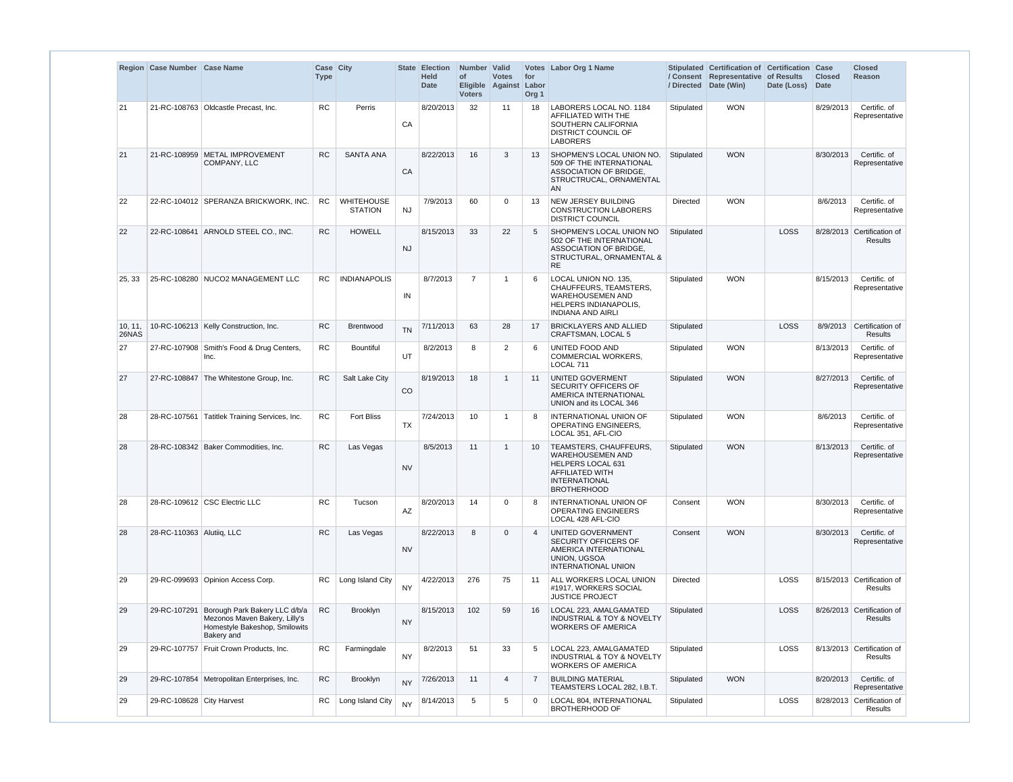|                  | Region Case Number Case Name |                                                                                                               | Case City<br><b>Type</b> |                                     |                        | <b>State Election</b><br><b>Held</b><br><b>Date</b> | Number Valid<br>of<br><b>Voters</b> | <b>Votes</b><br>Eligible Against Labor | for<br>Org <sub>1</sub> | Votes Labor Org 1 Name                                                                                                                         |                 | Stipulated Certification of Certification Case<br>/ Consent Representative of Results<br>/ Directed Date (Win) | Date (Loss) | <b>Closed</b><br><b>Date</b> | <b>Closed</b><br><b>Reason</b>        |
|------------------|------------------------------|---------------------------------------------------------------------------------------------------------------|--------------------------|-------------------------------------|------------------------|-----------------------------------------------------|-------------------------------------|----------------------------------------|-------------------------|------------------------------------------------------------------------------------------------------------------------------------------------|-----------------|----------------------------------------------------------------------------------------------------------------|-------------|------------------------------|---------------------------------------|
| 21               |                              | 21-RC-108763   Oldcastle Precast, Inc.                                                                        | <b>RC</b>                | Perris                              | CA                     | 8/20/2013                                           | 32                                  | 11                                     | 18                      | LABORERS LOCAL NO. 1184<br>AFFILIATED WITH THE<br>SOUTHERN CALIFORNIA<br>DISTRICT COUNCIL OF<br><b>LABORERS</b>                                | Stipulated      | <b>WON</b>                                                                                                     |             | 8/29/2013                    | Certific. of<br>Representative        |
| 21               |                              | 21-RC-108959 METAL IMPROVEMENT<br>COMPANY, LLC                                                                | <b>RC</b>                | <b>SANTA ANA</b>                    | CA                     | 8/22/2013                                           | 16                                  | 3                                      | 13                      | SHOPMEN'S LOCAL UNION NO.<br>509 OF THE INTERNATIONAL<br>ASSOCIATION OF BRIDGE,<br>STRUCTRUCAL, ORNAMENTAL<br>AN                               | Stipulated      | <b>WON</b>                                                                                                     |             | 8/30/2013                    | Certific. of<br>Representative        |
| 22               |                              | 22-RC-104012 SPERANZA BRICKWORK, INC.                                                                         | RC                       | <b>WHITEHOUSE</b><br><b>STATION</b> | <b>NJ</b>              | 7/9/2013                                            | 60                                  | 0                                      | 13                      | <b>NEW JERSEY BUILDING</b><br><b>CONSTRUCTION LABORERS</b><br><b>DISTRICT COUNCIL</b>                                                          | <b>Directed</b> | <b>WON</b>                                                                                                     |             | 8/6/2013                     | Certific. of<br>Representative        |
| 22               |                              | 22-RC-108641 ARNOLD STEEL CO., INC.                                                                           | <b>RC</b>                | <b>HOWELL</b>                       | <b>NJ</b>              | 8/15/2013                                           | 33                                  | 22                                     | -5                      | SHOPMEN'S LOCAL UNION NO<br>502 OF THE INTERNATIONAL<br>ASSOCIATION OF BRIDGE,<br>STRUCTURAL, ORNAMENTAL &<br><b>RE</b>                        | Stipulated      |                                                                                                                | <b>LOSS</b> |                              | 8/28/2013 Certification of<br>Results |
| 25, 33           |                              | 25-RC-108280 NUCO2 MANAGEMENT LLC                                                                             | <b>RC</b>                | <b>INDIANAPOLIS</b>                 | IN                     | 8/7/2013                                            | $\overline{7}$                      | -1                                     | 6                       | LOCAL UNION NO. 135,<br>CHAUFFEURS, TEAMSTERS,<br><b>WAREHOUSEMEN AND</b><br>HELPERS INDIANAPOLIS,<br><b>INDIANA AND AIRLI</b>                 | Stipulated      | <b>WON</b>                                                                                                     |             | 8/15/2013                    | Certific. of<br>Representative        |
| 10, 11,<br>26NAS |                              | 10-RC-106213 Kelly Construction, Inc.                                                                         | <b>RC</b>                | Brentwood                           | <b>TN</b>              | 7/11/2013                                           | 63                                  | 28                                     | 17                      | <b>BRICKLAYERS AND ALLIED</b><br>CRAFTSMAN, LOCAL 5                                                                                            | Stipulated      |                                                                                                                | LOSS        |                              | 8/9/2013 Certification of<br>Results  |
| 27               |                              | 27-RC-107908 Smith's Food & Drug Centers,<br>Inc.                                                             | <b>RC</b>                | <b>Bountiful</b>                    | UT                     | 8/2/2013                                            | 8                                   | 2                                      | 6                       | UNITED FOOD AND<br><b>COMMERCIAL WORKERS,</b><br>LOCAL 711                                                                                     | Stipulated      | <b>WON</b>                                                                                                     |             | 8/13/2013                    | Certific. of<br>Representative        |
| 27               |                              | 27-RC-108847 The Whitestone Group, Inc.                                                                       | <b>RC</b>                | Salt Lake City                      | CO                     | 8/19/2013                                           | 18                                  | $\mathbf{1}$                           | 11                      | UNITED GOVERMENT<br><b>SECURITY OFFICERS OF</b><br>AMERICA INTERNATIONAL<br>UNION and its LOCAL 346                                            | Stipulated      | <b>WON</b>                                                                                                     |             | 8/27/2013                    | Certific. of<br>Representative        |
| 28               | 28-RC-107561                 | Tatitlek Training Services, Inc.                                                                              | <b>RC</b>                | <b>Fort Bliss</b>                   | <b>TX</b>              | 7/24/2013                                           | 10                                  | -1                                     | -8                      | INTERNATIONAL UNION OF<br><b>OPERATING ENGINEERS,</b><br>LOCAL 351, AFL-CIO                                                                    | Stipulated      | <b>WON</b>                                                                                                     |             | 8/6/2013                     | Certific. of<br>Representative        |
| 28               |                              | 28-RC-108342 Baker Commodities, Inc.                                                                          | <b>RC</b>                | Las Vegas                           | <b>NV</b>              | 8/5/2013                                            | 11                                  | $\mathbf{1}$                           | 10                      | TEAMSTERS, CHAUFFEURS,<br><b>WAREHOUSEMEN AND</b><br>HELPERS LOCAL 631<br><b>AFFILIATED WITH</b><br><b>INTERNATIONAL</b><br><b>BROTHERHOOD</b> | Stipulated      | <b>WON</b>                                                                                                     |             | 8/13/2013                    | Certific. of<br>Representative        |
| 28               |                              | 28-RC-109612 CSC Electric LLC                                                                                 | <b>RC</b>                | Tucson                              | $\mathsf{A}\mathsf{Z}$ | 8/20/2013                                           | 14                                  | 0                                      | 8                       | INTERNATIONAL UNION OF<br><b>OPERATING ENGINEERS</b><br>LOCAL 428 AFL-CIO                                                                      | Consent         | <b>WON</b>                                                                                                     |             | 8/30/2013                    | Certific. of<br>Representative        |
| 28               | 28-RC-110363 Alutiiq, LLC    |                                                                                                               | RC                       | Las Vegas                           | <b>NV</b>              | 8/22/2013                                           | 8                                   | $\mathbf{0}$                           | $\overline{4}$          | UNITED GOVERNMENT<br><b>SECURITY OFFICERS OF</b><br>AMERICA INTERNATIONAL<br>UNION, UGSOA<br>INTERNATIONAL UNION                               | Consent         | <b>WON</b>                                                                                                     |             | 8/30/2013                    | Certific. of<br>Representative        |
| 29               |                              | 29-RC-099693 Opinion Access Corp.                                                                             | RC.                      | Long Island City                    | <b>NY</b>              | 4/22/2013                                           | 276                                 | 75                                     | -11                     | ALL WORKERS LOCAL UNION<br>#1917, WORKERS SOCIAL<br><b>JUSTICE PROJECT</b>                                                                     | Directed        |                                                                                                                | LOSS        |                              | 8/15/2013 Certification of<br>Results |
| 29               | 29-RC-107291                 | Borough Park Bakery LLC d/b/a<br>Mezonos Maven Bakery, Lilly's<br>Homestyle Bakeshop, Smilowits<br>Bakery and | <b>RC</b>                | Brooklyn                            | <b>NY</b>              | 8/15/2013                                           | 102                                 | 59                                     | 16                      | LOCAL 223, AMALGAMATED<br><b>INDUSTRIAL &amp; TOY &amp; NOVELTY</b><br><b>WORKERS OF AMERICA</b>                                               | Stipulated      |                                                                                                                | LOSS        |                              | 8/26/2013 Certification of<br>Results |
| 29               |                              | 29-RC-107757   Fruit Crown Products, Inc.                                                                     | <b>RC</b>                | Farmingdale                         | <b>NY</b>              | 8/2/2013                                            | 51                                  | 33                                     | -5                      | LOCAL 223, AMALGAMATED<br><b>INDUSTRIAL &amp; TOY &amp; NOVELTY</b><br><b>WORKERS OF AMERICA</b>                                               | Stipulated      |                                                                                                                | LOSS        |                              | 8/13/2013 Certification of<br>Results |
| 29               |                              | 29-RC-107854 Metropolitan Enterprises, Inc.                                                                   | ${\sf RC}$               | Brooklyn                            | <b>NY</b>              | 7/26/2013                                           | 11                                  | $\overline{4}$                         | -7                      | <b>BUILDING MATERIAL</b><br>TEAMSTERS LOCAL 282, I.B.T.                                                                                        | Stipulated      | <b>WON</b>                                                                                                     |             | 8/20/2013                    | Certific. of<br>Representative        |
| 29               | 29-RC-108628 City Harvest    |                                                                                                               | RC.                      | Long Island City                    | <b>NY</b>              | 8/14/2013                                           | 5                                   | 5                                      | $\mathbf 0$             | LOCAL 804, INTERNATIONAL<br><b>BROTHERHOOD OF</b>                                                                                              | Stipulated      |                                                                                                                | LOSS        |                              | 8/28/2013 Certification of<br>Results |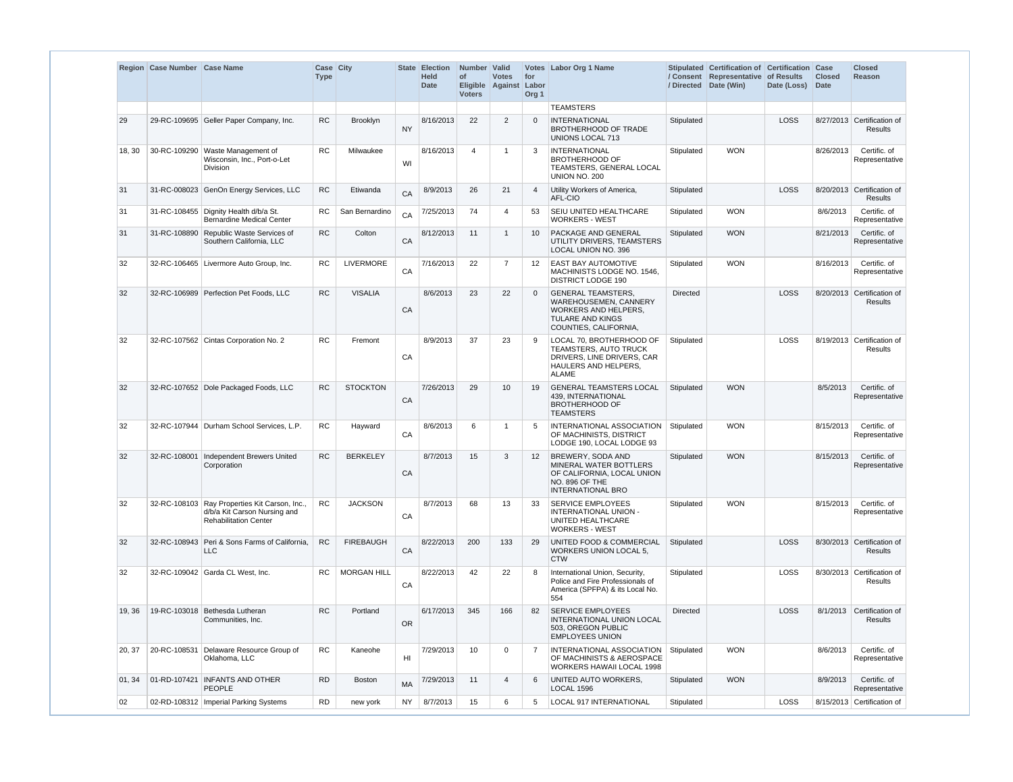|        | Region Case Number Case Name |                                                                                                               | Case City<br><b>Type</b> |                    |                 | State Election<br><b>Held</b><br><b>Date</b> | Number Valid<br><b>of</b><br><b>Voters</b> | <b>Votes</b><br>Eligible Against Labor | for<br>Org <sub>1</sub> | Votes Labor Org 1 Name                                                                                                                       | / Directed      | Stipulated Certification of Certification<br>/ Consent Representative of Results<br>Date (Win) | Date (Loss) | <b>Case</b><br><b>Closed</b><br>Date | <b>Closed</b><br><b>Reason</b>               |
|--------|------------------------------|---------------------------------------------------------------------------------------------------------------|--------------------------|--------------------|-----------------|----------------------------------------------|--------------------------------------------|----------------------------------------|-------------------------|----------------------------------------------------------------------------------------------------------------------------------------------|-----------------|------------------------------------------------------------------------------------------------|-------------|--------------------------------------|----------------------------------------------|
|        |                              |                                                                                                               |                          |                    |                 |                                              |                                            |                                        |                         | <b>TEAMSTERS</b>                                                                                                                             |                 |                                                                                                |             |                                      |                                              |
| 29     |                              | 29-RC-109695 Geller Paper Company, Inc.                                                                       | <b>RC</b>                | <b>Brooklyn</b>    | <b>NY</b>       | 8/16/2013                                    | 22                                         | 2                                      | $\Omega$                | <b>INTERNATIONAL</b><br><b>BROTHERHOOD OF TRADE</b><br>UNIONS LOCAL 713                                                                      | Stipulated      |                                                                                                | LOSS        |                                      | 8/27/2013 Certification of<br><b>Results</b> |
| 18, 30 |                              | 30-RC-109290 Waste Management of<br>Wisconsin, Inc., Port-o-Let<br>Division                                   | <b>RC</b>                | Milwaukee          | WI              | 8/16/2013                                    | 4                                          | -1                                     | 3                       | <b>INTERNATIONAL</b><br><b>BROTHERHOOD OF</b><br>TEAMSTERS, GENERAL LOCAL<br>UNION NO. 200                                                   | Stipulated      | <b>WON</b>                                                                                     |             | 8/26/2013                            | Certific. of<br>Representative               |
| 31     |                              | 31-RC-008023 GenOn Energy Services, LLC                                                                       | <b>RC</b>                | Etiwanda           | CA              | 8/9/2013                                     | 26                                         | 21                                     | $\overline{4}$          | Utility Workers of America,<br>AFL-CIO                                                                                                       | Stipulated      |                                                                                                | LOSS        |                                      | 8/20/2013 Certification of<br><b>Results</b> |
| 31     |                              | 31-RC-108455 Dignity Health d/b/a St.<br><b>Bernardine Medical Center</b>                                     | RC.                      | San Bernardino     | CA              | 7/25/2013                                    | 74                                         | $\overline{4}$                         | 53                      | SEIU UNITED HEALTHCARE<br><b>WORKERS - WEST</b>                                                                                              | Stipulated      | <b>WON</b>                                                                                     |             | 8/6/2013                             | Certific, of<br>Representative               |
| 31     |                              | 31-RC-108890 Republic Waste Services of<br>Southern California, LLC                                           | <b>RC</b>                | Colton             | CA              | 8/12/2013                                    | 11                                         | $\overline{1}$                         | 10                      | PACKAGE AND GENERAL<br><b>UTILITY DRIVERS, TEAMSTERS</b><br>LOCAL UNION NO. 396                                                              | Stipulated      | <b>WON</b>                                                                                     |             | 8/21/2013                            | Certific. of<br>Representative               |
| 32     |                              | 32-RC-106465 Livermore Auto Group, Inc.                                                                       | <b>RC</b>                | <b>LIVERMORE</b>   | CA              | 7/16/2013                                    | 22                                         | $\overline{7}$                         | 12                      | <b>EAST BAY AUTOMOTIVE</b><br>MACHINISTS LODGE NO. 1546.<br><b>DISTRICT LODGE 190</b>                                                        | Stipulated      | <b>WON</b>                                                                                     |             | 8/16/2013                            | Certific, of<br>Representative               |
| 32     |                              | 32-RC-106989 Perfection Pet Foods, LLC                                                                        | <b>RC</b>                | <b>VISALIA</b>     | CA              | 8/6/2013                                     | 23                                         | 22                                     | $\Omega$                | <b>GENERAL TEAMSTERS.</b><br><b>WAREHOUSEMEN, CANNERY</b><br><b>WORKERS AND HELPERS,</b><br><b>TULARE AND KINGS</b><br>COUNTIES, CALIFORNIA, | <b>Directed</b> |                                                                                                | LOSS        |                                      | 8/20/2013 Certification of<br><b>Results</b> |
| 32     |                              | 32-RC-107562 Cintas Corporation No. 2                                                                         | <b>RC</b>                | Fremont            | CA              | 8/9/2013                                     | 37                                         | 23                                     | 9                       | LOCAL 70, BROTHERHOOD OF<br><b>TEAMSTERS, AUTO TRUCK</b><br>DRIVERS, LINE DRIVERS, CAR<br>HAULERS AND HELPERS,<br>ALAME                      | Stipulated      |                                                                                                | LOSS        |                                      | 8/19/2013 Certification of<br>Results        |
| 32     |                              | 32-RC-107652 Dole Packaged Foods, LLC                                                                         | <b>RC</b>                | <b>STOCKTON</b>    | CA              | 7/26/2013                                    | 29                                         | 10                                     | 19                      | <b>GENERAL TEAMSTERS LOCAL</b><br>439, INTERNATIONAL<br><b>BROTHERHOOD OF</b><br><b>TEAMSTERS</b>                                            | Stipulated      | <b>WON</b>                                                                                     |             | 8/5/2013                             | Certific. of<br>Representative               |
| 32     |                              | 32-RC-107944 Durham School Services, L.P.                                                                     | <b>RC</b>                | Hayward            | CA              | 8/6/2013                                     | 6                                          | -1                                     | 5                       | INTERNATIONAL ASSOCIATION   Stipulated<br>OF MACHINISTS, DISTRICT<br>LODGE 190, LOCAL LODGE 93                                               |                 | <b>WON</b>                                                                                     |             | 8/15/2013                            | Certific. of<br>Representative               |
| 32     |                              | 32-RC-108001   Independent Brewers United<br>Corporation                                                      | <b>RC</b>                | <b>BERKELEY</b>    | CA              | 8/7/2013                                     | 15                                         | 3                                      | 12                      | BREWERY, SODA AND<br>MINERAL WATER BOTTLERS<br>OF CALIFORNIA, LOCAL UNION<br>NO. 896 OF THE<br><b>INTERNATIONAL BRO</b>                      | Stipulated      | <b>WON</b>                                                                                     |             | 8/15/2013                            | Certific. of<br>Representative               |
| 32     |                              | 32-RC-108103 Ray Properties Kit Carson, Inc.,<br>d/b/a Kit Carson Nursing and<br><b>Rehabilitation Center</b> | <b>RC</b>                | <b>JACKSON</b>     | CA              | 8/7/2013                                     | 68                                         | 13                                     | 33                      | <b>SERVICE EMPLOYEES</b><br>INTERNATIONAL UNION -<br>UNITED HEALTHCARE<br><b>WORKERS - WEST</b>                                              | Stipulated      | <b>WON</b>                                                                                     |             | 8/15/2013                            | Certific. of<br>Representative               |
| 32     |                              | 32-RC-108943 Peri & Sons Farms of California,<br><b>LLC</b>                                                   | <b>RC</b>                | <b>FIREBAUGH</b>   | CA              | 8/22/2013                                    | 200                                        | 133                                    | 29                      | <b>UNITED FOOD &amp; COMMERCIAL</b><br>WORKERS UNION LOCAL 5,<br><b>CTW</b>                                                                  | Stipulated      |                                                                                                | LOSS        |                                      | 8/30/2013 Certification of<br><b>Results</b> |
| 32     |                              | 32-RC-109042 Garda CL West, Inc.                                                                              | <b>RC</b>                | <b>MORGAN HILL</b> | CA              | 8/22/2013                                    | 42                                         | 22                                     | 8                       | International Union, Security,<br>Police and Fire Professionals of<br>America (SPFPA) & its Local No.<br>554                                 | Stipulated      |                                                                                                | LOSS        |                                      | 8/30/2013 Certification of<br>Results        |
| 19, 36 |                              | 19-RC-103018 Bethesda Lutheran<br>Communities, Inc.                                                           | <b>RC</b>                | Portland           | <b>OR</b>       | 6/17/2013                                    | 345                                        | 166                                    | 82                      | <b>SERVICE EMPLOYEES</b><br>INTERNATIONAL UNION LOCAL<br>503, OREGON PUBLIC<br><b>EMPLOYEES UNION</b>                                        | <b>Directed</b> |                                                                                                | LOSS        |                                      | 8/1/2013 Certification of<br>Results         |
| 20, 37 |                              | 20-RC-108531 Delaware Resource Group of<br>Oklahoma, LLC                                                      | <b>RC</b>                | Kaneohe            | H <sub>II</sub> | 7/29/2013                                    | 10                                         | $\mathbf 0$                            | 7                       | INTERNATIONAL ASSOCIATION<br>OF MACHINISTS & AEROSPACE<br>WORKERS HAWAII LOCAL 1998                                                          | Stipulated      | <b>WON</b>                                                                                     |             | 8/6/2013                             | Certific. of<br>Representative               |
| 01, 34 |                              | 01-RD-107421   INFANTS AND OTHER<br>PEOPLE                                                                    | <b>RD</b>                | <b>Boston</b>      | <b>MA</b>       | 7/29/2013                                    | 11                                         | $\boldsymbol{\varDelta}$               | 6                       | UNITED AUTO WORKERS,<br><b>LOCAL 1596</b>                                                                                                    | Stipulated      | <b>WON</b>                                                                                     |             | 8/9/2013                             | Certific. of<br>Representative               |
| 02     |                              | 02-RD-108312   Imperial Parking Systems                                                                       | <b>RD</b>                | new york           | <b>NY</b>       | 8/7/2013                                     | 15                                         | 6                                      | 5                       | LOCAL 917 INTERNATIONAL                                                                                                                      | Stipulated      |                                                                                                | LOSS        |                                      | 8/15/2013 Certification of                   |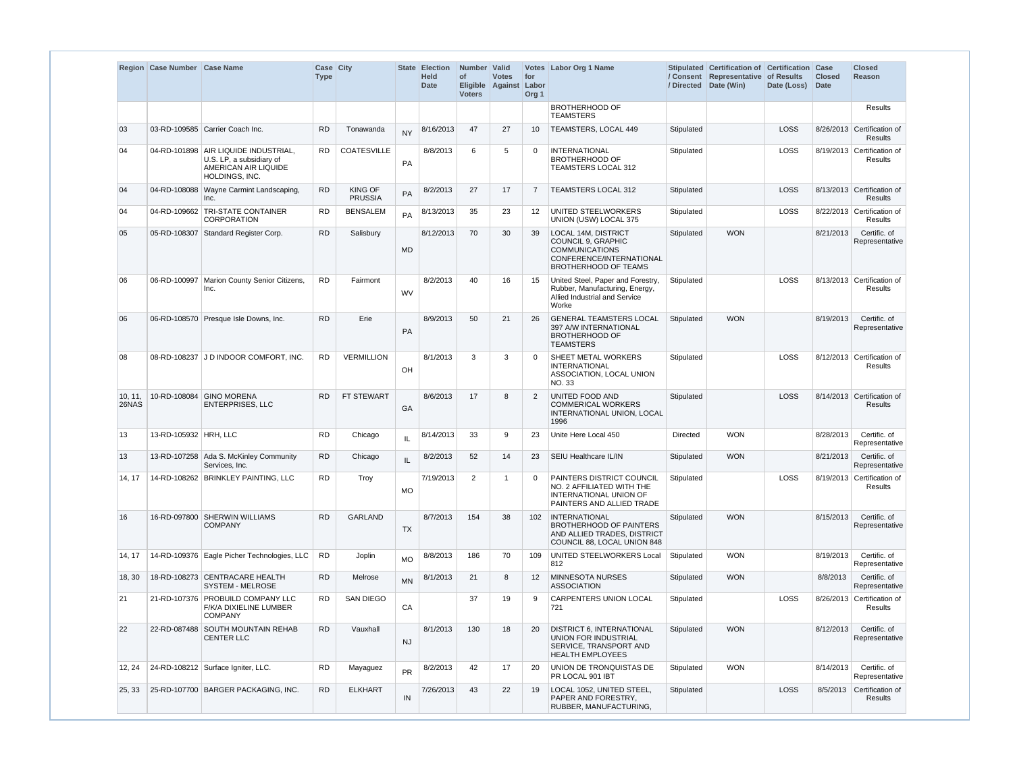|                  | Region Case Number Case Name |                                                                                                              | Case City<br><b>Type</b> |                                  |           | <b>State Election</b><br><b>Held</b><br><b>Date</b> | Number Valid<br>of<br>Eligible Against<br><b>Voters</b> | <b>Votes</b> | for<br>Labor<br>Org <sub>1</sub> | Votes Labor Org 1 Name                                                                                                               |            | Stipulated Certification of Certification Case<br>/ Consent Representative of Results<br>/ Directed Date (Win) | Date (Loss) | <b>Closed</b><br><b>Date</b> | <b>Closed</b><br>Reason                      |
|------------------|------------------------------|--------------------------------------------------------------------------------------------------------------|--------------------------|----------------------------------|-----------|-----------------------------------------------------|---------------------------------------------------------|--------------|----------------------------------|--------------------------------------------------------------------------------------------------------------------------------------|------------|----------------------------------------------------------------------------------------------------------------|-------------|------------------------------|----------------------------------------------|
|                  |                              |                                                                                                              |                          |                                  |           |                                                     |                                                         |              |                                  | <b>BROTHERHOOD OF</b><br><b>TEAMSTERS</b>                                                                                            |            |                                                                                                                |             |                              | <b>Results</b>                               |
| 03               |                              | 03-RD-109585 Carrier Coach Inc.                                                                              | <b>RD</b>                | Tonawanda                        | <b>NY</b> | 8/16/2013                                           | 47                                                      | 27           | 10                               | TEAMSTERS, LOCAL 449                                                                                                                 | Stipulated |                                                                                                                | LOSS        |                              | 8/26/2013 Certification of<br><b>Results</b> |
| 04               |                              | 04-RD-101898   AIR LIQUIDE INDUSTRIAL,<br>U.S. LP, a subsidiary of<br>AMERICAN AIR LIQUIDE<br>HOLDINGS, INC. | <b>RD</b>                | <b>COATESVILLE</b>               | <b>PA</b> | 8/8/2013                                            | 6                                                       | 5            | $\Omega$                         | <b>INTERNATIONAL</b><br><b>BROTHERHOOD OF</b><br><b>TEAMSTERS LOCAL 312</b>                                                          | Stipulated |                                                                                                                | <b>LOSS</b> |                              | 8/19/2013 Certification of<br><b>Results</b> |
| 04               |                              | 04-RD-108088 Wayne Carmint Landscaping,<br>Inc.                                                              | <b>RD</b>                | <b>KING OF</b><br><b>PRUSSIA</b> | PA        | 8/2/2013                                            | 27                                                      | 17           | -7                               | <b>TEAMSTERS LOCAL 312</b>                                                                                                           | Stipulated |                                                                                                                | LOSS        |                              | 8/13/2013 Certification of<br><b>Results</b> |
| 04               |                              | 04-RD-109662 TRI-STATE CONTAINER<br><b>CORPORATION</b>                                                       | <b>RD</b>                | <b>BENSALEM</b>                  | PA        | 8/13/2013                                           | 35                                                      | 23           | 12                               | UNITED STEELWORKERS<br>UNION (USW) LOCAL 375                                                                                         | Stipulated |                                                                                                                | LOSS        |                              | 8/22/2013 Certification of<br><b>Results</b> |
| 05               |                              | 05-RD-108307 Standard Register Corp.                                                                         | <b>RD</b>                | Salisbury                        | <b>MD</b> | 8/12/2013                                           | 70                                                      | 30           | 39                               | <b>LOCAL 14M, DISTRICT</b><br>COUNCIL 9, GRAPHIC<br><b>COMMUNICATIONS</b><br>CONFERENCE/INTERNATIONAL<br><b>BROTHERHOOD OF TEAMS</b> | Stipulated | <b>WON</b>                                                                                                     |             | 8/21/2013                    | Certific. of<br>Representative               |
| 06               |                              | 06-RD-100997 Marion County Senior Citizens,<br>Inc.                                                          | <b>RD</b>                | Fairmont                         | <b>WV</b> | 8/2/2013                                            | 40                                                      | 16           | 15                               | United Steel, Paper and Forestry,<br>Rubber, Manufacturing, Energy,<br>Allied Industrial and Service<br>Worke                        | Stipulated |                                                                                                                | LOSS        |                              | 8/13/2013 Certification of<br><b>Results</b> |
| 06               |                              | 06-RD-108570 Presque Isle Downs, Inc.                                                                        | <b>RD</b>                | Erie                             | <b>PA</b> | 8/9/2013                                            | 50                                                      | 21           | 26                               | <b>GENERAL TEAMSTERS LOCAL</b><br>397 A/W INTERNATIONAL<br><b>BROTHERHOOD OF</b><br><b>TEAMSTERS</b>                                 | Stipulated | <b>WON</b>                                                                                                     |             | 8/19/2013                    | Certific. of<br>Representative               |
| 08               |                              | 08-RD-108237 J D INDOOR COMFORT, INC.                                                                        | <b>RD</b>                | <b>VERMILLION</b>                | OH        | 8/1/2013                                            | 3                                                       | 3            | -C                               | SHEET METAL WORKERS<br><b>INTERNATIONAL</b><br>ASSOCIATION, LOCAL UNION<br>NO. 33                                                    | Stipulated |                                                                                                                | LOSS        |                              | 8/12/2013 Certification of<br><b>Results</b> |
| 10, 11,<br>26NAS |                              | 10-RD-108084 GINO MORENA<br><b>ENTERPRISES, LLC</b>                                                          | <b>RD</b>                | FT STEWART                       | GA        | 8/6/2013                                            | 17                                                      | 8            | 2                                | UNITED FOOD AND<br><b>COMMERICAL WORKERS</b><br>INTERNATIONAL UNION, LOCAL<br>1996                                                   | Stipulated |                                                                                                                | <b>LOSS</b> |                              | 8/14/2013 Certification of<br><b>Results</b> |
| 13               | 13-RD-105932 HRH, LLC        |                                                                                                              | <b>RD</b>                | Chicago                          | IL        | 8/14/2013                                           | 33                                                      | 9            | 23                               | Unite Here Local 450                                                                                                                 | Directed   | <b>WON</b>                                                                                                     |             | 8/28/2013                    | Certific. of<br>Representative               |
| 13               |                              | 13-RD-107258 Ada S. McKinley Community<br>Services, Inc.                                                     | <b>RD</b>                | Chicago                          |           | 8/2/2013                                            | 52                                                      | 14           | 23                               | SEIU Healthcare IL/IN                                                                                                                | Stipulated | <b>WON</b>                                                                                                     |             | 8/21/2013                    | Certific. of<br>Representative               |
| 14, 17           |                              | 14-RD-108262 BRINKLEY PAINTING, LLC                                                                          | <b>RD</b>                | Troy                             | <b>MO</b> | 7/19/2013                                           | $\overline{2}$                                          | -1           |                                  | PAINTERS DISTRICT COUNCIL<br>NO. 2 AFFILIATED WITH THE<br>INTERNATIONAL UNION OF<br>PAINTERS AND ALLIED TRADE                        | Stipulated |                                                                                                                | <b>LOSS</b> |                              | 8/19/2013 Certification of<br><b>Results</b> |
| 16               |                              | 16-RD-097800 SHERWIN WILLIAMS<br><b>COMPANY</b>                                                              | <b>RD</b>                | <b>GARLAND</b>                   | <b>TX</b> | 8/7/2013                                            | 154                                                     | 38           | 102                              | INTERNATIONAL<br><b>BROTHERHOOD OF PAINTERS</b><br>AND ALLIED TRADES, DISTRICT<br>COUNCIL 88, LOCAL UNION 848                        | Stipulated | <b>WON</b>                                                                                                     |             | 8/15/2013                    | Certific. of<br>Representative               |
| 14, 17           |                              | 14-RD-109376 Eagle Picher Technologies, LLC                                                                  | <b>RD</b>                | Joplin                           | <b>MO</b> | 8/8/2013                                            | 186                                                     | 70           | 109                              | UNITED STEELWORKERS Local<br>812                                                                                                     | Stipulated | <b>WON</b>                                                                                                     |             | 8/19/2013                    | Certific. of<br>Representative               |
| 18, 30           |                              | 18-RD-108273 CENTRACARE HEALTH<br>SYSTEM - MELROSE                                                           | <b>RD</b>                | Melrose                          | <b>MN</b> | 8/1/2013                                            | 21                                                      | 8            | 12                               | <b>MINNESOTA NURSES</b><br><b>ASSOCIATION</b>                                                                                        | Stipulated | <b>WON</b>                                                                                                     |             | 8/8/2013                     | Certific. of<br>Representative               |
| 21               |                              | 21-RD-107376 PROBUILD COMPANY LLC<br>F/K/A DIXIELINE LUMBER<br><b>COMPANY</b>                                | <b>RD</b>                | <b>SAN DIEGO</b>                 | CA        |                                                     | 37                                                      | 19           | 9                                | CARPENTERS UNION LOCAL<br>721                                                                                                        | Stipulated |                                                                                                                | LOSS        |                              | 8/26/2013 Certification of<br><b>Results</b> |
| 22               |                              | 22-RD-087488 SOUTH MOUNTAIN REHAB<br><b>CENTER LLC</b>                                                       | <b>RD</b>                | Vauxhall                         | <b>NJ</b> | 8/1/2013                                            | 130                                                     | 18           | 20                               | <b>DISTRICT 6, INTERNATIONAL</b><br>UNION FOR INDUSTRIAL<br>SERVICE, TRANSPORT AND<br><b>HEALTH EMPLOYEES</b>                        | Stipulated | <b>WON</b>                                                                                                     |             | 8/12/2013                    | Certific. of<br>Representative               |
| 12, 24           |                              | 24-RD-108212 Surface Igniter, LLC.                                                                           | <b>RD</b>                | Mayaguez                         | <b>PR</b> | 8/2/2013                                            | 42                                                      | 17           | 20                               | UNION DE TRONQUISTAS DE<br>PR LOCAL 901 IBT                                                                                          | Stipulated | <b>WON</b>                                                                                                     |             | 8/14/2013                    | Certific. of<br>Representative               |
| 25, 33           |                              | 25-RD-107700 BARGER PACKAGING, INC.                                                                          | <b>RD</b>                | <b>ELKHART</b>                   | IN        | 7/26/2013                                           | 43                                                      | 22           | 19                               | LOCAL 1052, UNITED STEEL,<br>PAPER AND FORESTRY,<br>RUBBER, MANUFACTURING,                                                           | Stipulated |                                                                                                                | <b>LOSS</b> |                              | 8/5/2013 Certification of<br><b>Results</b>  |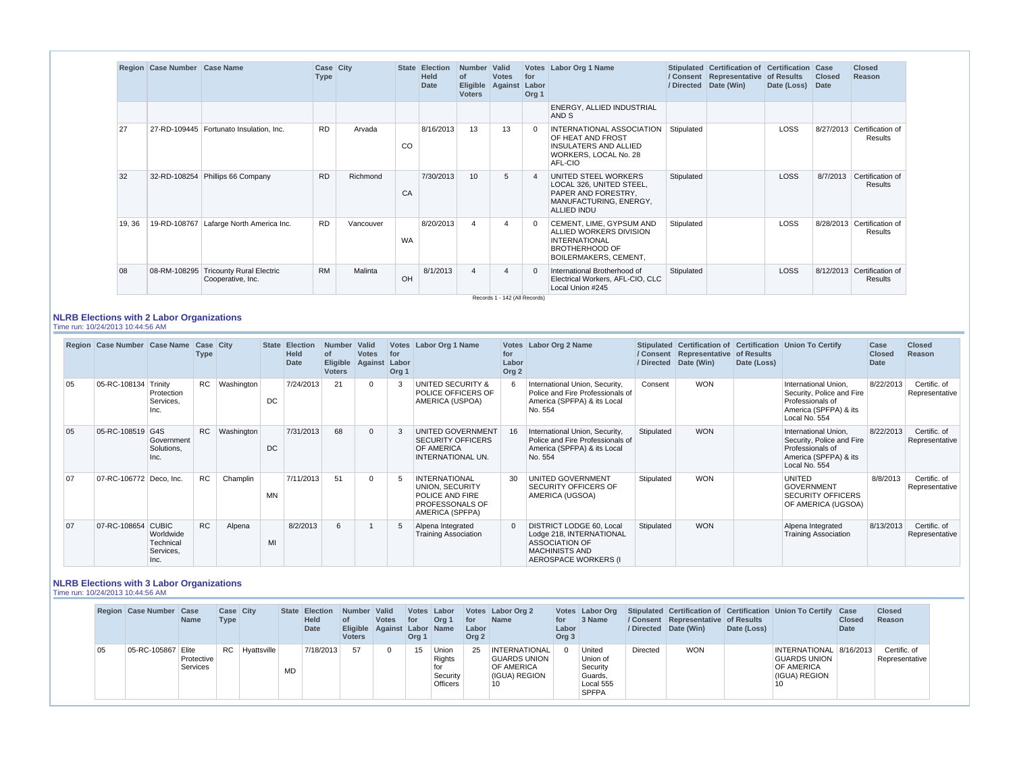|        | Region   Case Number   Case Name |                                                      | Case City<br><b>Type</b> |           |           | State Election<br><b>Held</b><br><b>Date</b> | Number Valid<br>0f<br><b>Eligible</b><br><b>Voters</b> | <b>Votes</b><br>Against       | for<br>Labor<br>Org <sub>1</sub> | Votes Labor Org 1 Name                                                                                                        |            | Stipulated Certification of Certification Case<br>/ Consent Representative of Results<br>/ Directed Date (Win) | Date (Loss) | <b>Closed</b><br>Date | <b>Closed</b><br>Reason               |
|--------|----------------------------------|------------------------------------------------------|--------------------------|-----------|-----------|----------------------------------------------|--------------------------------------------------------|-------------------------------|----------------------------------|-------------------------------------------------------------------------------------------------------------------------------|------------|----------------------------------------------------------------------------------------------------------------|-------------|-----------------------|---------------------------------------|
|        |                                  |                                                      |                          |           |           |                                              |                                                        |                               |                                  | ENERGY, ALLIED INDUSTRIAL<br>AND S                                                                                            |            |                                                                                                                |             |                       |                                       |
| 27     |                                  | 27-RD-109445   Fortunato Insulation, Inc.            | <b>RD</b>                | Arvada    | CO        | 8/16/2013                                    | 13                                                     | 13                            | - 0                              | INTERNATIONAL ASSOCIATION<br>OF HEAT AND FROST<br><b>INSULATERS AND ALLIED</b><br>WORKERS, LOCAL No. 28<br>AFL-CIO            | Stipulated |                                                                                                                | <b>LOSS</b> |                       | 8/27/2013 Certification of<br>Results |
| 32     |                                  | 32-RD-108254 Phillips 66 Company                     | <b>RD</b>                | Richmond  | CA        | 7/30/2013                                    | 10 <sup>1</sup>                                        | 5                             | $\sqrt{2}$                       | UNITED STEEL WORKERS<br>LOCAL 326, UNITED STEEL,<br>PAPER AND FORESTRY.<br>MANUFACTURING, ENERGY,<br><b>ALLIED INDU</b>       | Stipulated |                                                                                                                | <b>LOSS</b> | 8/7/2013              | Certification of<br><b>Results</b>    |
| 19, 36 |                                  | 19-RD-108767   Lafarge North America Inc.            | <b>RD</b>                | Vancouver | <b>WA</b> | 8/20/2013                                    |                                                        | 4                             | - 0                              | CEMENT, LIME, GYPSUM AND<br>ALLIED WORKERS DIVISION<br><b>INTERNATIONAL</b><br><b>BROTHERHOOD OF</b><br>BOILERMAKERS, CEMENT, | Stipulated |                                                                                                                | LOSS        |                       | 8/28/2013 Certification of<br>Results |
| 08     | 08-RM-108295                     | <b>Tricounty Rural Electric</b><br>Cooperative, Inc. | <b>RM</b>                | Malinta   | OH        | 8/1/2013                                     |                                                        | Records 1 - 142 (All Records) | - 0                              | International Brotherhood of<br>Electrical Workers, AFL-CIO, CLC<br>Local Union #245                                          | Stipulated |                                                                                                                | <b>LOSS</b> |                       | 8/12/2013 Certification of<br>Results |

### **NLRB Elections with 2 Labor Organizations**

Time run: 10/24/2013 10:44:56 AM

|    | Region Case Number Case Name Case City |                                             | Type      |                 |     | <b>State Election</b><br><b>Held</b><br><b>Date</b> | Number Valid<br>οf<br><b>Eligible</b><br><b>Voters</b> | <b>Votes</b><br>Against | for<br>Labor<br>Org <sub>1</sub> | Votes Labor Org 1 Name                                                                           | for<br>Labor<br>Org <sub>2</sub> | Votes Labor Org 2 Name                                                                                                                |            | / Consent   Representative   of Results<br>/ Directed Date (Win) | Date (Loss) | Stipulated Certification of Certification Union To Certify                                                      | Case<br><b>Closed</b><br>Date | <b>Closed</b><br>Reason        |
|----|----------------------------------------|---------------------------------------------|-----------|-----------------|-----|-----------------------------------------------------|--------------------------------------------------------|-------------------------|----------------------------------|--------------------------------------------------------------------------------------------------|----------------------------------|---------------------------------------------------------------------------------------------------------------------------------------|------------|------------------------------------------------------------------|-------------|-----------------------------------------------------------------------------------------------------------------|-------------------------------|--------------------------------|
| 05 | 05-RC-108134 Trinity                   | Protection<br>Services,<br>Inc.             |           | RC   Washington | DC. | 7/24/2013                                           | 21                                                     | $\Omega$                | 3                                | UNITED SECURITY &<br>POLICE OFFICERS OF<br>AMERICA (USPOA)                                       |                                  | International Union, Security,<br>Police and Fire Professionals of<br>America (SPFPA) & its Local<br>No. 554                          | Consent    | <b>WON</b>                                                       |             | International Union.<br>Security, Police and Fire<br>Professionals of<br>America (SPFPA) & its<br>Local No. 554 | 8/22/2013                     | Certific. of<br>Representative |
| 05 | 05-RC-108519 G4S                       | Government<br>Solutions,<br>Inc.            | <b>RC</b> | Washington      | DC. | 7/31/2013                                           | 68                                                     | $\mathbf 0$             | 3                                | UNITED GOVERNMENT<br><b>SECURITY OFFICERS</b><br>OF AMERICA<br>INTERNATIONAL UN.                 |                                  | International Union, Security,<br>Police and Fire Professionals of<br>America (SPFPA) & its Local<br>No. 554                          | Stipulated | <b>WON</b>                                                       |             | International Union.<br>Security, Police and Fire<br>Professionals of<br>America (SPFPA) & its<br>Local No. 554 | 8/22/2013                     | Certific. of<br>Representative |
| 07 | 07-RC-106772 Deco, Inc.                |                                             | <b>RC</b> | Champlin        | MN  | 7/11/2013                                           | 51                                                     | $\Omega$                | 5                                | <b>INTERNATIONAL</b><br>UNION, SECURITY<br>POLICE AND FIRE<br>PROFESSONALS OF<br>AMERICA (SPFPA) | 30                               | UNITED GOVERNMENT<br>SECURITY OFFICERS OF<br>AMERICA (UGSOA)                                                                          | Stipulated | <b>WON</b>                                                       |             | <b>UNITED</b><br><b>GOVERNMENT</b><br><b>SECURITY OFFICERS</b><br>OF AMERICA (UGSOA)                            | 8/8/2013                      | Certific. of<br>Representative |
| 07 | 07-RC-108654 CUBIC                     | Worldwide<br>Technical<br>Services,<br>Inc. | <b>RC</b> | Alpena          | MI  | 8/2/2013                                            | 6                                                      |                         | 5                                | Alpena Integrated<br><b>Training Association</b>                                                 |                                  | <b>DISTRICT LODGE 60, Local</b><br>Lodge 218, INTERNATIONAL<br><b>ASSOCIATION OF</b><br><b>MACHINISTS AND</b><br>AEROSPACE WORKERS (I | Stipulated | <b>WON</b>                                                       |             | Alpena Integrated<br><b>Training Association</b>                                                                | 8/13/2013                     | Certific. of<br>Representative |

#### **NLRB Elections with 3 Labor Organizations** Time run: 10/24/2013 10:44:56 AM

**Region Case Number Case Case City State Election** 

|    | <b>Region Case Number Case</b> | <b>Name</b>            | <b>Case City</b><br><b>Type</b> |                  |     | State Election<br><b>Held</b><br>Date | Number Valid<br>Eligible Against Labor Name<br>Voters | <b>Votes</b> | $ $ for<br>Org 1 | Votes Labor<br>Org 1                    | ∣ for<br>Labor<br>Org <sub>2</sub> | Votes Labor Org 2<br><b>Name</b>                                 | for<br>Labor<br>Org <sub>3</sub> | Votes Labor Org<br>3 Name                                              |          | / Consent   Representative   of Results<br>/ Directed Date (Win) | Date (Loss) | Stipulated Certification of Certification Union To Certify Case              | <b>Closed</b><br><b>Date</b> | <b>Closed</b><br>Reason        |
|----|--------------------------------|------------------------|---------------------------------|------------------|-----|---------------------------------------|-------------------------------------------------------|--------------|------------------|-----------------------------------------|------------------------------------|------------------------------------------------------------------|----------------------------------|------------------------------------------------------------------------|----------|------------------------------------------------------------------|-------------|------------------------------------------------------------------------------|------------------------------|--------------------------------|
| 05 | 05-RC-105867 Elite             | Protective<br>Services |                                 | RC   Hyattsville | MD. | 7/18/2013                             | 57                                                    |              | 15 <sup>1</sup>  | Union<br>Rights<br>Security<br>Officers | 25                                 | INTERNATIONAL<br>  GUARDS UNION  <br>OF AMERICA<br>(IGUA) REGION |                                  | United<br>Union of<br>Security<br>Guards,<br>Local 555<br><b>SPFPA</b> | Directed | <b>WON</b>                                                       |             | INTERNATIONAL 8/16/2013<br>GUARDS UNION<br>OF AMERICA<br>(IGUA) REGION<br>10 |                              | Certific, of<br>Representative |

and the company